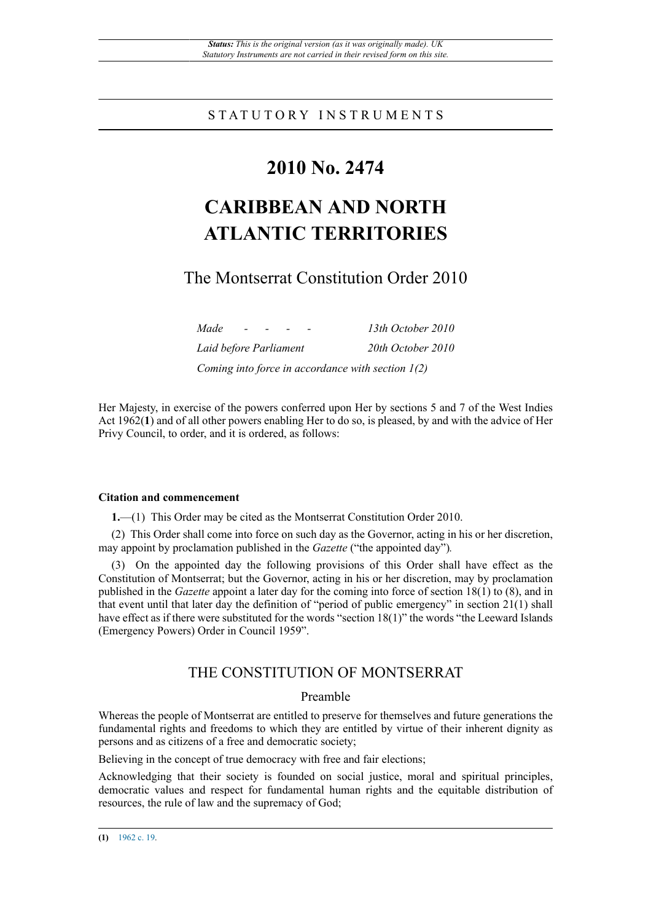# S T A T U T O R Y I N S T R U M E N T S

# **2010 No. 2474**

# **CARIBBEAN AND NORTH ATLANTIC TERRITORIES**

# The Montserrat Constitution Order 2010

*Made - - - - 13th October 2010 Laid before Parliament 20th October 2010 Coming into force in accordance with section 1(2)*

Her Majesty, in exercise of the powers conferred upon Her by sections 5 and 7 of the West Indies Act 1962(**1**) and of all other powers enabling Her to do so, is pleased, by and with the advice of Her Privy Council, to order, and it is ordered, as follows:

#### **Citation and commencement**

**1.**—(1) This Order may be cited as the Montserrat Constitution Order 2010.

(2) This Order shall come into force on such day as the Governor, acting in his or her discretion, may appoint by proclamation published in the *Gazette* ("the appointed day")*.*

(3) On the appointed day the following provisions of this Order shall have effect as the Constitution of Montserrat; but the Governor, acting in his or her discretion, may by proclamation published in the *Gazette* appoint a later day for the coming into force of section 18(1) to (8), and in that event until that later day the definition of "period of public emergency" in section 21(1) shall have effect as if there were substituted for the words "section 18(1)" the words "the Leeward Islands (Emergency Powers) Order in Council 1959".

# THE CONSTITUTION OF MONTSERRAT

# Preamble

Whereas the people of Montserrat are entitled to preserve for themselves and future generations the fundamental rights and freedoms to which they are entitled by virtue of their inherent dignity as persons and as citizens of a free and democratic society;

Believing in the concept of true democracy with free and fair elections;

Acknowledging that their society is founded on social justice, moral and spiritual principles, democratic values and respect for fundamental human rights and the equitable distribution of resources, the rule of law and the supremacy of God;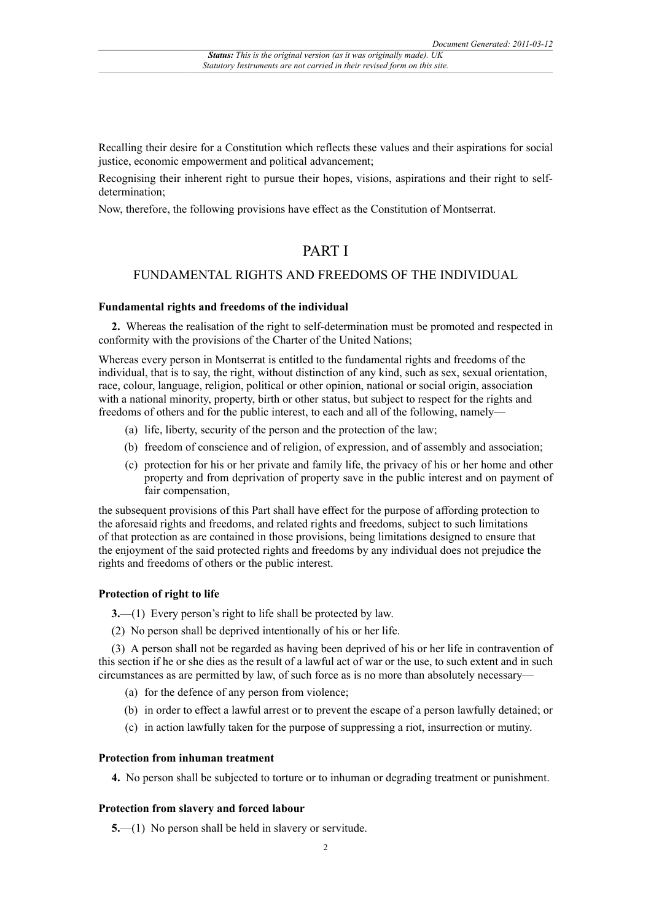Recalling their desire for a Constitution which reflects these values and their aspirations for social justice, economic empowerment and political advancement;

Recognising their inherent right to pursue their hopes, visions, aspirations and their right to selfdetermination;

Now, therefore, the following provisions have effect as the Constitution of Montserrat.

# PART I

# FUNDAMENTAL RIGHTS AND FREEDOMS OF THE INDIVIDUAL

# **Fundamental rights and freedoms of the individual**

**2.** Whereas the realisation of the right to self-determination must be promoted and respected in conformity with the provisions of the Charter of the United Nations;

Whereas every person in Montserrat is entitled to the fundamental rights and freedoms of the individual, that is to say, the right, without distinction of any kind, such as sex, sexual orientation, race, colour, language, religion, political or other opinion, national or social origin, association with a national minority, property, birth or other status, but subject to respect for the rights and freedoms of others and for the public interest, to each and all of the following, namely—

- (a) life, liberty, security of the person and the protection of the law;
- (b) freedom of conscience and of religion, of expression, and of assembly and association;
- (c) protection for his or her private and family life, the privacy of his or her home and other property and from deprivation of property save in the public interest and on payment of fair compensation,

the subsequent provisions of this Part shall have effect for the purpose of affording protection to the aforesaid rights and freedoms, and related rights and freedoms, subject to such limitations of that protection as are contained in those provisions, being limitations designed to ensure that the enjoyment of the said protected rights and freedoms by any individual does not prejudice the rights and freedoms of others or the public interest.

# **Protection of right to life**

- **3.**—(1) Every person's right to life shall be protected by law.
- (2) No person shall be deprived intentionally of his or her life.

(3) A person shall not be regarded as having been deprived of his or her life in contravention of this section if he or she dies as the result of a lawful act of war or the use, to such extent and in such circumstances as are permitted by law, of such force as is no more than absolutely necessary—

- (a) for the defence of any person from violence;
- (b) in order to effect a lawful arrest or to prevent the escape of a person lawfully detained; or
- (c) in action lawfully taken for the purpose of suppressing a riot, insurrection or mutiny.

#### **Protection from inhuman treatment**

**4.** No person shall be subjected to torture or to inhuman or degrading treatment or punishment.

### **Protection from slavery and forced labour**

**5.**—(1) No person shall be held in slavery or servitude.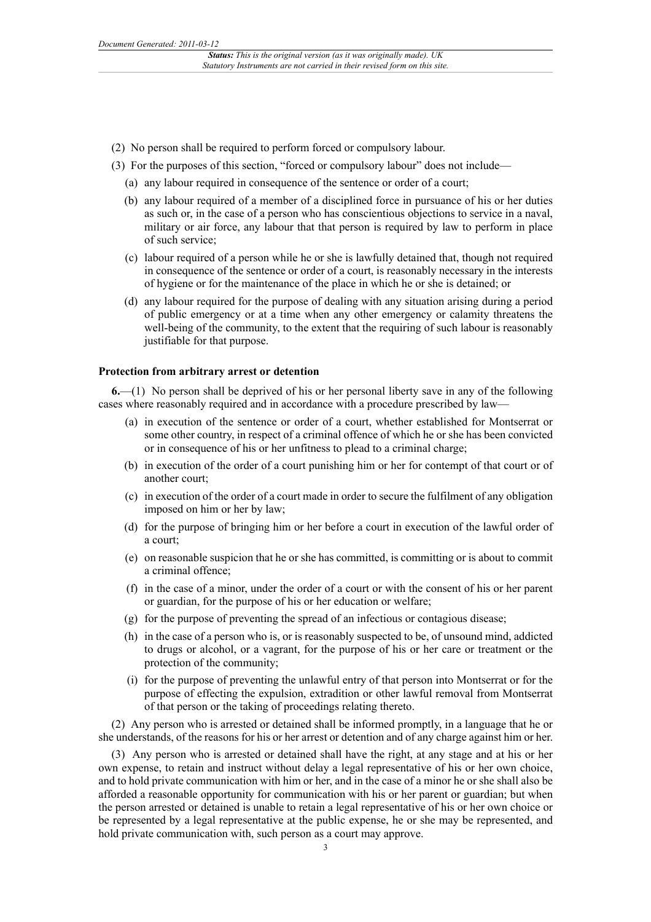- (2) No person shall be required to perform forced or compulsory labour.
- (3) For the purposes of this section, "forced or compulsory labour" does not include—
	- (a) any labour required in consequence of the sentence or order of a court;
	- (b) any labour required of a member of a disciplined force in pursuance of his or her duties as such or, in the case of a person who has conscientious objections to service in a naval, military or air force, any labour that that person is required by law to perform in place of such service;
	- (c) labour required of a person while he or she is lawfully detained that, though not required in consequence of the sentence or order of a court, is reasonably necessary in the interests of hygiene or for the maintenance of the place in which he or she is detained; or
	- (d) any labour required for the purpose of dealing with any situation arising during a period of public emergency or at a time when any other emergency or calamity threatens the well-being of the community, to the extent that the requiring of such labour is reasonably justifiable for that purpose.

#### **Protection from arbitrary arrest or detention**

**6.**—(1) No person shall be deprived of his or her personal liberty save in any of the following cases where reasonably required and in accordance with a procedure prescribed by law—

- (a) in execution of the sentence or order of a court, whether established for Montserrat or some other country, in respect of a criminal offence of which he or she has been convicted or in consequence of his or her unfitness to plead to a criminal charge;
- (b) in execution of the order of a court punishing him or her for contempt of that court or of another court;
- (c) in execution of the order of a court made in order to secure the fulfilment of any obligation imposed on him or her by law;
- (d) for the purpose of bringing him or her before a court in execution of the lawful order of a court;
- (e) on reasonable suspicion that he or she has committed, is committing or is about to commit a criminal offence;
- (f) in the case of a minor, under the order of a court or with the consent of his or her parent or guardian, for the purpose of his or her education or welfare;
- (g) for the purpose of preventing the spread of an infectious or contagious disease;
- (h) in the case of a person who is, or is reasonably suspected to be, of unsound mind, addicted to drugs or alcohol, or a vagrant, for the purpose of his or her care or treatment or the protection of the community;
- (i) for the purpose of preventing the unlawful entry of that person into Montserrat or for the purpose of effecting the expulsion, extradition or other lawful removal from Montserrat of that person or the taking of proceedings relating thereto.

(2) Any person who is arrested or detained shall be informed promptly, in a language that he or she understands, of the reasons for his or her arrest or detention and of any charge against him or her.

(3) Any person who is arrested or detained shall have the right, at any stage and at his or her own expense, to retain and instruct without delay a legal representative of his or her own choice, and to hold private communication with him or her, and in the case of a minor he or she shall also be afforded a reasonable opportunity for communication with his or her parent or guardian; but when the person arrested or detained is unable to retain a legal representative of his or her own choice or be represented by a legal representative at the public expense, he or she may be represented, and hold private communication with, such person as a court may approve.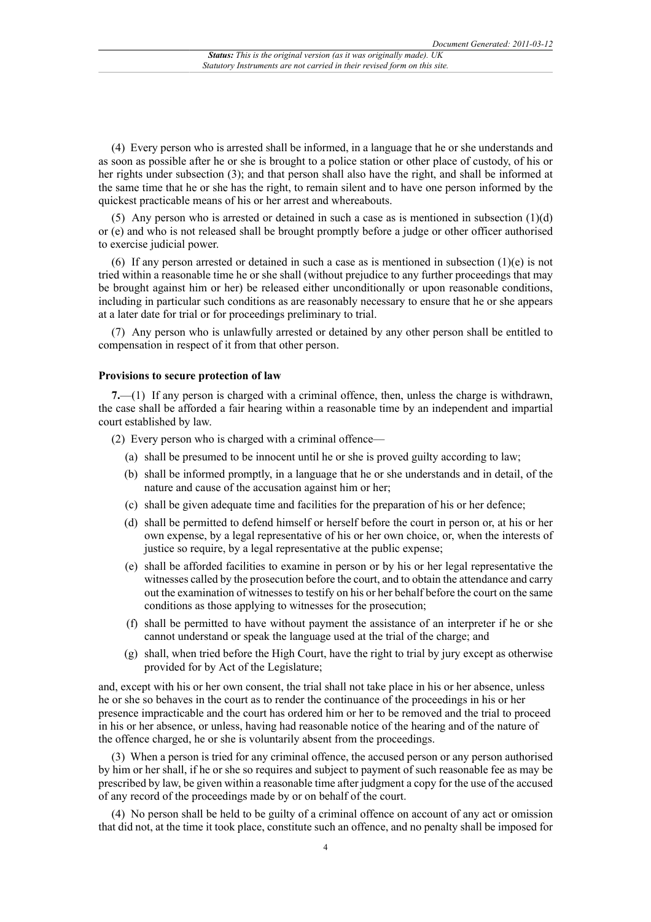(4) Every person who is arrested shall be informed, in a language that he or she understands and as soon as possible after he or she is brought to a police station or other place of custody, of his or her rights under subsection (3); and that person shall also have the right, and shall be informed at the same time that he or she has the right, to remain silent and to have one person informed by the quickest practicable means of his or her arrest and whereabouts.

(5) Any person who is arrested or detained in such a case as is mentioned in subsection (1)(d) or (e) and who is not released shall be brought promptly before a judge or other officer authorised to exercise judicial power.

(6) If any person arrested or detained in such a case as is mentioned in subsection  $(1)(e)$  is not tried within a reasonable time he or she shall (without prejudice to any further proceedings that may be brought against him or her) be released either unconditionally or upon reasonable conditions, including in particular such conditions as are reasonably necessary to ensure that he or she appears at a later date for trial or for proceedings preliminary to trial.

(7) Any person who is unlawfully arrested or detained by any other person shall be entitled to compensation in respect of it from that other person.

#### **Provisions to secure protection of law**

**7.**—(1) If any person is charged with a criminal offence, then, unless the charge is withdrawn, the case shall be afforded a fair hearing within a reasonable time by an independent and impartial court established by law.

(2) Every person who is charged with a criminal offence—

- (a) shall be presumed to be innocent until he or she is proved guilty according to law;
- (b) shall be informed promptly, in a language that he or she understands and in detail, of the nature and cause of the accusation against him or her;
- (c) shall be given adequate time and facilities for the preparation of his or her defence;
- (d) shall be permitted to defend himself or herself before the court in person or, at his or her own expense, by a legal representative of his or her own choice, or, when the interests of justice so require, by a legal representative at the public expense;
- (e) shall be afforded facilities to examine in person or by his or her legal representative the witnesses called by the prosecution before the court, and to obtain the attendance and carry out the examination of witnesses to testify on his or her behalf before the court on the same conditions as those applying to witnesses for the prosecution;
- (f) shall be permitted to have without payment the assistance of an interpreter if he or she cannot understand or speak the language used at the trial of the charge; and
- (g) shall, when tried before the High Court, have the right to trial by jury except as otherwise provided for by Act of the Legislature;

and, except with his or her own consent, the trial shall not take place in his or her absence, unless he or she so behaves in the court as to render the continuance of the proceedings in his or her presence impracticable and the court has ordered him or her to be removed and the trial to proceed in his or her absence, or unless, having had reasonable notice of the hearing and of the nature of the offence charged, he or she is voluntarily absent from the proceedings.

(3) When a person is tried for any criminal offence, the accused person or any person authorised by him or her shall, if he or she so requires and subject to payment of such reasonable fee as may be prescribed by law, be given within a reasonable time after judgment a copy for the use of the accused of any record of the proceedings made by or on behalf of the court.

(4) No person shall be held to be guilty of a criminal offence on account of any act or omission that did not, at the time it took place, constitute such an offence, and no penalty shall be imposed for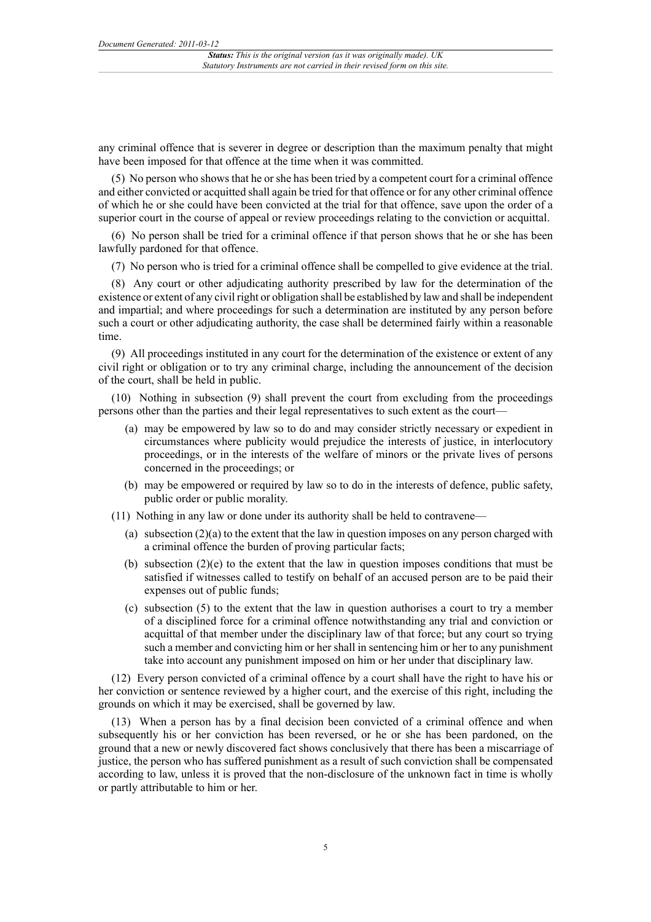any criminal offence that is severer in degree or description than the maximum penalty that might have been imposed for that offence at the time when it was committed.

(5) No person who shows that he or she has been tried by a competent court for a criminal offence and either convicted or acquitted shall again be tried for that offence or for any other criminal offence of which he or she could have been convicted at the trial for that offence, save upon the order of a superior court in the course of appeal or review proceedings relating to the conviction or acquittal.

(6) No person shall be tried for a criminal offence if that person shows that he or she has been lawfully pardoned for that offence.

(7) No person who is tried for a criminal offence shall be compelled to give evidence at the trial.

(8) Any court or other adjudicating authority prescribed by law for the determination of the existence or extent of any civil right or obligation shall be established by law and shall be independent and impartial; and where proceedings for such a determination are instituted by any person before such a court or other adjudicating authority, the case shall be determined fairly within a reasonable time.

(9) All proceedings instituted in any court for the determination of the existence or extent of any civil right or obligation or to try any criminal charge, including the announcement of the decision of the court, shall be held in public.

(10) Nothing in subsection (9) shall prevent the court from excluding from the proceedings persons other than the parties and their legal representatives to such extent as the court—

- (a) may be empowered by law so to do and may consider strictly necessary or expedient in circumstances where publicity would prejudice the interests of justice, in interlocutory proceedings, or in the interests of the welfare of minors or the private lives of persons concerned in the proceedings; or
- (b) may be empowered or required by law so to do in the interests of defence, public safety, public order or public morality.
- (11) Nothing in any law or done under its authority shall be held to contravene—
	- (a) subsection  $(2)(a)$  to the extent that the law in question imposes on any person charged with a criminal offence the burden of proving particular facts;
	- (b) subsection  $(2)(e)$  to the extent that the law in question imposes conditions that must be satisfied if witnesses called to testify on behalf of an accused person are to be paid their expenses out of public funds;
	- (c) subsection (5) to the extent that the law in question authorises a court to try a member of a disciplined force for a criminal offence notwithstanding any trial and conviction or acquittal of that member under the disciplinary law of that force; but any court so trying such a member and convicting him or her shall in sentencing him or her to any punishment take into account any punishment imposed on him or her under that disciplinary law.

(12) Every person convicted of a criminal offence by a court shall have the right to have his or her conviction or sentence reviewed by a higher court, and the exercise of this right, including the grounds on which it may be exercised, shall be governed by law.

(13) When a person has by a final decision been convicted of a criminal offence and when subsequently his or her conviction has been reversed, or he or she has been pardoned, on the ground that a new or newly discovered fact shows conclusively that there has been a miscarriage of justice, the person who has suffered punishment as a result of such conviction shall be compensated according to law, unless it is proved that the non-disclosure of the unknown fact in time is wholly or partly attributable to him or her.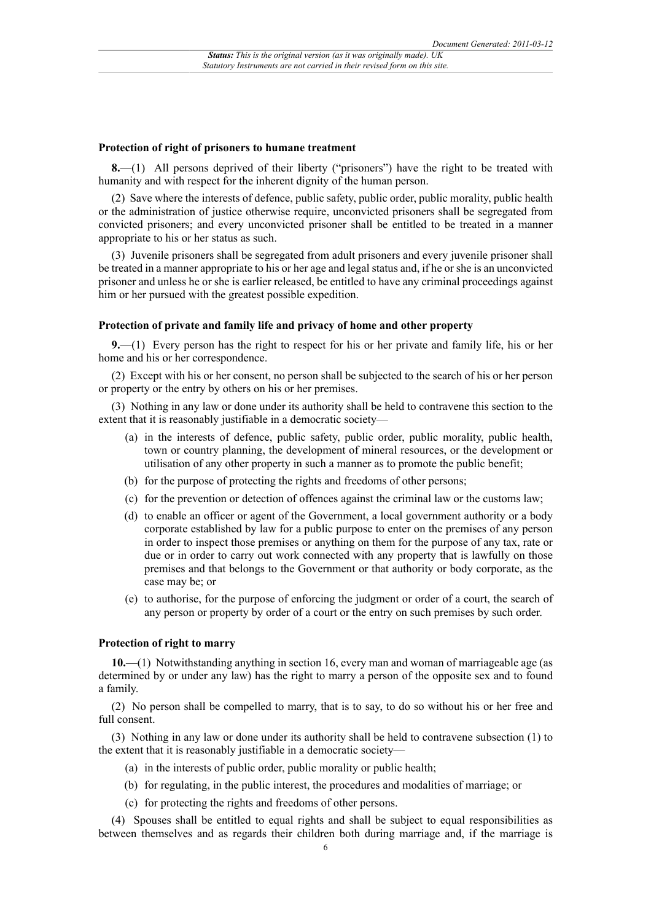#### **Protection of right of prisoners to humane treatment**

**8.**—(1) All persons deprived of their liberty ("prisoners") have the right to be treated with humanity and with respect for the inherent dignity of the human person.

(2) Save where the interests of defence, public safety, public order, public morality, public health or the administration of justice otherwise require, unconvicted prisoners shall be segregated from convicted prisoners; and every unconvicted prisoner shall be entitled to be treated in a manner appropriate to his or her status as such.

(3) Juvenile prisoners shall be segregated from adult prisoners and every juvenile prisoner shall be treated in a manner appropriate to his or her age and legal status and, if he or she is an unconvicted prisoner and unless he or she is earlier released, be entitled to have any criminal proceedings against him or her pursued with the greatest possible expedition.

#### **Protection of private and family life and privacy of home and other property**

**9.**—(1) Every person has the right to respect for his or her private and family life, his or her home and his or her correspondence.

(2) Except with his or her consent, no person shall be subjected to the search of his or her person or property or the entry by others on his or her premises.

(3) Nothing in any law or done under its authority shall be held to contravene this section to the extent that it is reasonably justifiable in a democratic society—

- (a) in the interests of defence, public safety, public order, public morality, public health, town or country planning, the development of mineral resources, or the development or utilisation of any other property in such a manner as to promote the public benefit;
- (b) for the purpose of protecting the rights and freedoms of other persons;
- (c) for the prevention or detection of offences against the criminal law or the customs law;
- (d) to enable an officer or agent of the Government, a local government authority or a body corporate established by law for a public purpose to enter on the premises of any person in order to inspect those premises or anything on them for the purpose of any tax, rate or due or in order to carry out work connected with any property that is lawfully on those premises and that belongs to the Government or that authority or body corporate, as the case may be; or
- (e) to authorise, for the purpose of enforcing the judgment or order of a court, the search of any person or property by order of a court or the entry on such premises by such order.

# **Protection of right to marry**

**10.**—(1) Notwithstanding anything in section 16, every man and woman of marriageable age (as determined by or under any law) has the right to marry a person of the opposite sex and to found a family.

(2) No person shall be compelled to marry, that is to say, to do so without his or her free and full consent.

(3) Nothing in any law or done under its authority shall be held to contravene subsection (1) to the extent that it is reasonably justifiable in a democratic society—

- (a) in the interests of public order, public morality or public health;
- (b) for regulating, in the public interest, the procedures and modalities of marriage; or
- (c) for protecting the rights and freedoms of other persons.

(4) Spouses shall be entitled to equal rights and shall be subject to equal responsibilities as between themselves and as regards their children both during marriage and, if the marriage is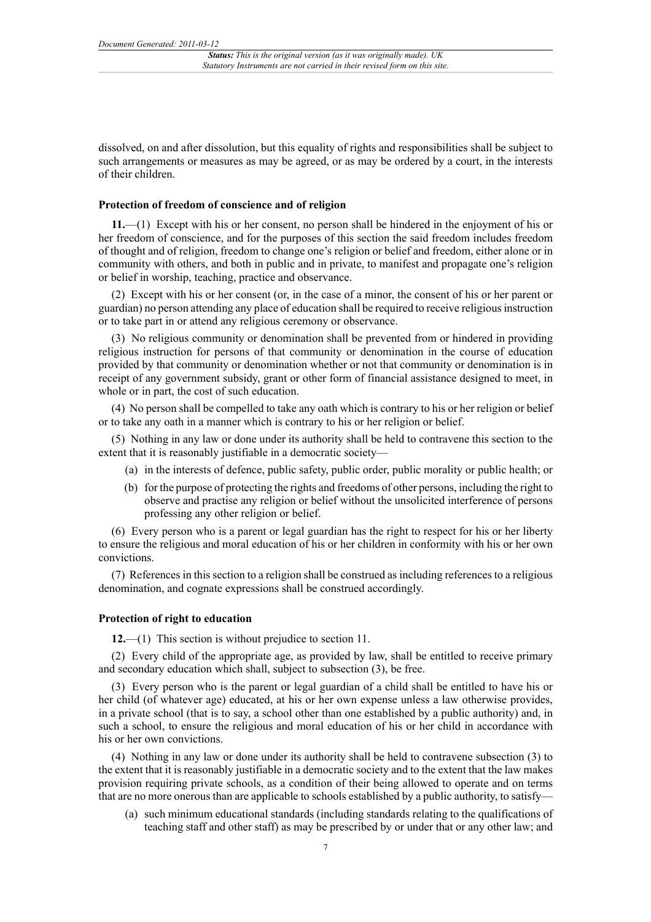dissolved, on and after dissolution, but this equality of rights and responsibilities shall be subject to such arrangements or measures as may be agreed, or as may be ordered by a court, in the interests of their children.

#### **Protection of freedom of conscience and of religion**

**11.**—(1) Except with his or her consent, no person shall be hindered in the enjoyment of his or her freedom of conscience, and for the purposes of this section the said freedom includes freedom of thought and of religion, freedom to change one's religion or belief and freedom, either alone or in community with others, and both in public and in private, to manifest and propagate one's religion or belief in worship, teaching, practice and observance.

(2) Except with his or her consent (or, in the case of a minor, the consent of his or her parent or guardian) no person attending any place of education shall be required to receive religious instruction or to take part in or attend any religious ceremony or observance.

(3) No religious community or denomination shall be prevented from or hindered in providing religious instruction for persons of that community or denomination in the course of education provided by that community or denomination whether or not that community or denomination is in receipt of any government subsidy, grant or other form of financial assistance designed to meet, in whole or in part, the cost of such education.

(4) No person shall be compelled to take any oath which is contrary to his or her religion or belief or to take any oath in a manner which is contrary to his or her religion or belief.

(5) Nothing in any law or done under its authority shall be held to contravene this section to the extent that it is reasonably justifiable in a democratic society—

- (a) in the interests of defence, public safety, public order, public morality or public health; or
- (b) for the purpose of protecting the rights and freedoms of other persons, including the right to observe and practise any religion or belief without the unsolicited interference of persons professing any other religion or belief.

(6) Every person who is a parent or legal guardian has the right to respect for his or her liberty to ensure the religious and moral education of his or her children in conformity with his or her own convictions.

(7) References in this section to a religion shall be construed as including references to a religious denomination, and cognate expressions shall be construed accordingly.

### **Protection of right to education**

**12.**—(1) This section is without prejudice to section 11.

(2) Every child of the appropriate age, as provided by law, shall be entitled to receive primary and secondary education which shall, subject to subsection (3), be free.

(3) Every person who is the parent or legal guardian of a child shall be entitled to have his or her child (of whatever age) educated, at his or her own expense unless a law otherwise provides, in a private school (that is to say, a school other than one established by a public authority) and, in such a school, to ensure the religious and moral education of his or her child in accordance with his or her own convictions.

(4) Nothing in any law or done under its authority shall be held to contravene subsection (3) to the extent that it is reasonably justifiable in a democratic society and to the extent that the law makes provision requiring private schools, as a condition of their being allowed to operate and on terms that are no more onerous than are applicable to schools established by a public authority, to satisfy—

(a) such minimum educational standards (including standards relating to the qualifications of teaching staff and other staff) as may be prescribed by or under that or any other law; and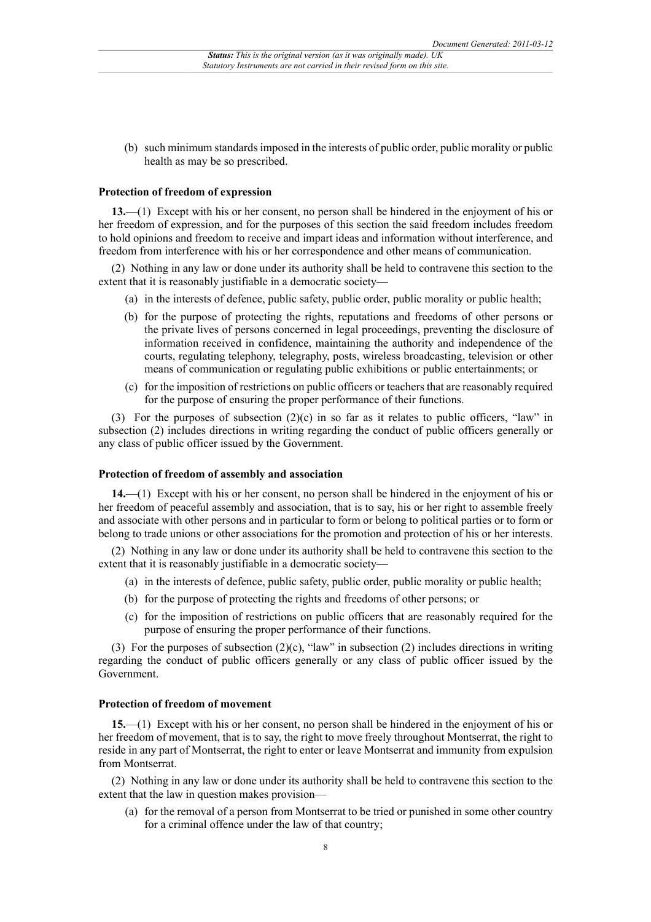(b) such minimum standards imposed in the interests of public order, public morality or public health as may be so prescribed.

# **Protection of freedom of expression**

**13.**—(1) Except with his or her consent, no person shall be hindered in the enjoyment of his or her freedom of expression, and for the purposes of this section the said freedom includes freedom to hold opinions and freedom to receive and impart ideas and information without interference, and freedom from interference with his or her correspondence and other means of communication.

(2) Nothing in any law or done under its authority shall be held to contravene this section to the extent that it is reasonably justifiable in a democratic society—

- (a) in the interests of defence, public safety, public order, public morality or public health;
- (b) for the purpose of protecting the rights, reputations and freedoms of other persons or the private lives of persons concerned in legal proceedings, preventing the disclosure of information received in confidence, maintaining the authority and independence of the courts, regulating telephony, telegraphy, posts, wireless broadcasting, television or other means of communication or regulating public exhibitions or public entertainments; or
- (c) for the imposition of restrictions on public officers or teachers that are reasonably required for the purpose of ensuring the proper performance of their functions.

(3) For the purposes of subsection (2)(c) in so far as it relates to public officers, "law" in subsection (2) includes directions in writing regarding the conduct of public officers generally or any class of public officer issued by the Government.

### **Protection of freedom of assembly and association**

**14.**—(1) Except with his or her consent, no person shall be hindered in the enjoyment of his or her freedom of peaceful assembly and association, that is to say, his or her right to assemble freely and associate with other persons and in particular to form or belong to political parties or to form or belong to trade unions or other associations for the promotion and protection of his or her interests.

(2) Nothing in any law or done under its authority shall be held to contravene this section to the extent that it is reasonably justifiable in a democratic society—

- (a) in the interests of defence, public safety, public order, public morality or public health;
- (b) for the purpose of protecting the rights and freedoms of other persons; or
- (c) for the imposition of restrictions on public officers that are reasonably required for the purpose of ensuring the proper performance of their functions.

(3) For the purposes of subsection  $(2)(c)$ , "law" in subsection  $(2)$  includes directions in writing regarding the conduct of public officers generally or any class of public officer issued by the Government.

# **Protection of freedom of movement**

**15.**—(1) Except with his or her consent, no person shall be hindered in the enjoyment of his or her freedom of movement, that is to say, the right to move freely throughout Montserrat, the right to reside in any part of Montserrat, the right to enter or leave Montserrat and immunity from expulsion from Montserrat.

(2) Nothing in any law or done under its authority shall be held to contravene this section to the extent that the law in question makes provision—

(a) for the removal of a person from Montserrat to be tried or punished in some other country for a criminal offence under the law of that country;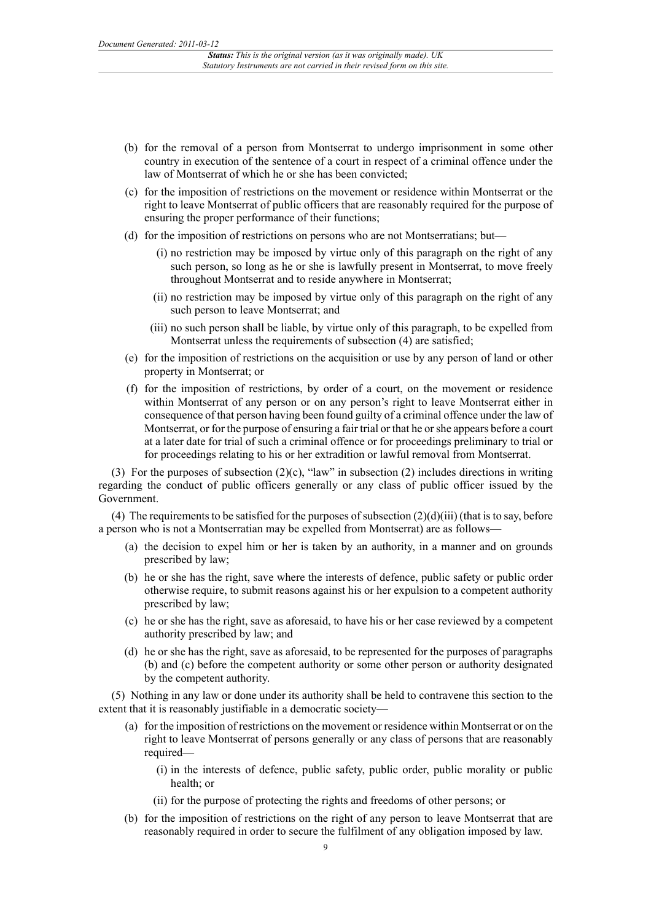- (b) for the removal of a person from Montserrat to undergo imprisonment in some other country in execution of the sentence of a court in respect of a criminal offence under the law of Montserrat of which he or she has been convicted;
- (c) for the imposition of restrictions on the movement or residence within Montserrat or the right to leave Montserrat of public officers that are reasonably required for the purpose of ensuring the proper performance of their functions;
- (d) for the imposition of restrictions on persons who are not Montserratians; but—
	- (i) no restriction may be imposed by virtue only of this paragraph on the right of any such person, so long as he or she is lawfully present in Montserrat, to move freely throughout Montserrat and to reside anywhere in Montserrat;
	- (ii) no restriction may be imposed by virtue only of this paragraph on the right of any such person to leave Montserrat; and
	- (iii) no such person shall be liable, by virtue only of this paragraph, to be expelled from Montserrat unless the requirements of subsection (4) are satisfied;
- (e) for the imposition of restrictions on the acquisition or use by any person of land or other property in Montserrat; or
- (f) for the imposition of restrictions, by order of a court, on the movement or residence within Montserrat of any person or on any person's right to leave Montserrat either in consequence of that person having been found guilty of a criminal offence under the law of Montserrat, or for the purpose of ensuring a fair trial or that he or she appears before a court at a later date for trial of such a criminal offence or for proceedings preliminary to trial or for proceedings relating to his or her extradition or lawful removal from Montserrat.

(3) For the purposes of subsection (2)(c), "law" in subsection (2) includes directions in writing regarding the conduct of public officers generally or any class of public officer issued by the Government.

(4) The requirements to be satisfied for the purposes of subsection  $(2)(d)(iii)$  (that is to say, before a person who is not a Montserratian may be expelled from Montserrat) are as follows—

- (a) the decision to expel him or her is taken by an authority, in a manner and on grounds prescribed by law;
- (b) he or she has the right, save where the interests of defence, public safety or public order otherwise require, to submit reasons against his or her expulsion to a competent authority prescribed by law;
- (c) he or she has the right, save as aforesaid, to have his or her case reviewed by a competent authority prescribed by law; and
- (d) he or she has the right, save as aforesaid, to be represented for the purposes of paragraphs (b) and (c) before the competent authority or some other person or authority designated by the competent authority.

(5) Nothing in any law or done under its authority shall be held to contravene this section to the extent that it is reasonably justifiable in a democratic society—

- (a) for the imposition of restrictions on the movement or residence within Montserrat or on the right to leave Montserrat of persons generally or any class of persons that are reasonably required—
	- (i) in the interests of defence, public safety, public order, public morality or public health; or
	- (ii) for the purpose of protecting the rights and freedoms of other persons; or
- (b) for the imposition of restrictions on the right of any person to leave Montserrat that are reasonably required in order to secure the fulfilment of any obligation imposed by law.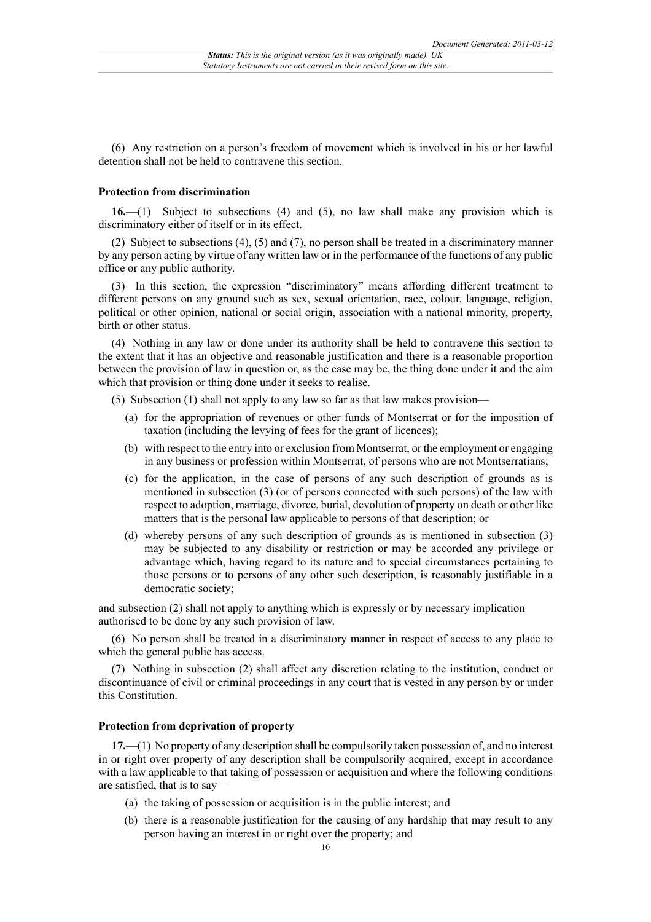(6) Any restriction on a person's freedom of movement which is involved in his or her lawful detention shall not be held to contravene this section.

### **Protection from discrimination**

**16.**—(1) Subject to subsections (4) and (5), no law shall make any provision which is discriminatory either of itself or in its effect.

(2) Subject to subsections (4), (5) and (7), no person shall be treated in a discriminatory manner by any person acting by virtue of any written law or in the performance of the functions of any public office or any public authority.

(3) In this section, the expression "discriminatory" means affording different treatment to different persons on any ground such as sex, sexual orientation, race, colour, language, religion, political or other opinion, national or social origin, association with a national minority, property, birth or other status.

(4) Nothing in any law or done under its authority shall be held to contravene this section to the extent that it has an objective and reasonable justification and there is a reasonable proportion between the provision of law in question or, as the case may be, the thing done under it and the aim which that provision or thing done under it seeks to realise.

(5) Subsection (1) shall not apply to any law so far as that law makes provision—

- (a) for the appropriation of revenues or other funds of Montserrat or for the imposition of taxation (including the levying of fees for the grant of licences);
- (b) with respect to the entry into or exclusion from Montserrat, or the employment or engaging in any business or profession within Montserrat, of persons who are not Montserratians;
- (c) for the application, in the case of persons of any such description of grounds as is mentioned in subsection (3) (or of persons connected with such persons) of the law with respect to adoption, marriage, divorce, burial, devolution of property on death or other like matters that is the personal law applicable to persons of that description; or
- (d) whereby persons of any such description of grounds as is mentioned in subsection (3) may be subjected to any disability or restriction or may be accorded any privilege or advantage which, having regard to its nature and to special circumstances pertaining to those persons or to persons of any other such description, is reasonably justifiable in a democratic society;

and subsection (2) shall not apply to anything which is expressly or by necessary implication authorised to be done by any such provision of law.

(6) No person shall be treated in a discriminatory manner in respect of access to any place to which the general public has access.

(7) Nothing in subsection (2) shall affect any discretion relating to the institution, conduct or discontinuance of civil or criminal proceedings in any court that is vested in any person by or under this Constitution.

# **Protection from deprivation of property**

**17.**—(1) No property of any description shall be compulsorily taken possession of, and no interest in or right over property of any description shall be compulsorily acquired, except in accordance with a law applicable to that taking of possession or acquisition and where the following conditions are satisfied, that is to say—

- (a) the taking of possession or acquisition is in the public interest; and
- (b) there is a reasonable justification for the causing of any hardship that may result to any person having an interest in or right over the property; and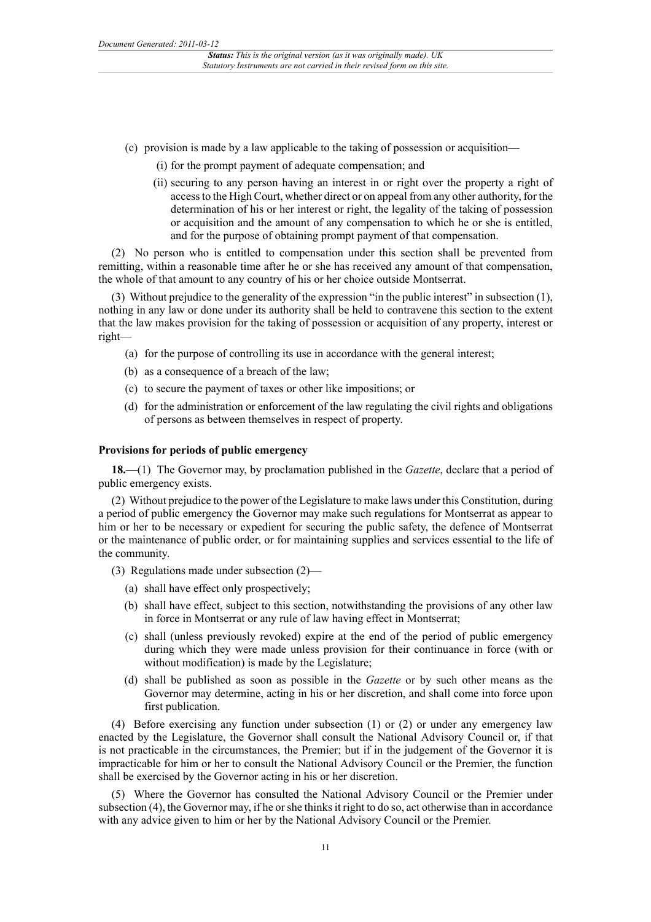- (c) provision is made by a law applicable to the taking of possession or acquisition—
	- (i) for the prompt payment of adequate compensation; and
	- (ii) securing to any person having an interest in or right over the property a right of access to the High Court, whether direct or on appeal from any other authority, for the determination of his or her interest or right, the legality of the taking of possession or acquisition and the amount of any compensation to which he or she is entitled, and for the purpose of obtaining prompt payment of that compensation.

(2) No person who is entitled to compensation under this section shall be prevented from remitting, within a reasonable time after he or she has received any amount of that compensation, the whole of that amount to any country of his or her choice outside Montserrat.

(3) Without prejudice to the generality of the expression "in the public interest" in subsection (1), nothing in any law or done under its authority shall be held to contravene this section to the extent that the law makes provision for the taking of possession or acquisition of any property, interest or right—

- (a) for the purpose of controlling its use in accordance with the general interest;
- (b) as a consequence of a breach of the law;
- (c) to secure the payment of taxes or other like impositions; or
- (d) for the administration or enforcement of the law regulating the civil rights and obligations of persons as between themselves in respect of property.

# **Provisions for periods of public emergency**

**18.**—(1) The Governor may, by proclamation published in the *Gazette*, declare that a period of public emergency exists.

(2) Without prejudice to the power of the Legislature to make laws under this Constitution, during a period of public emergency the Governor may make such regulations for Montserrat as appear to him or her to be necessary or expedient for securing the public safety, the defence of Montserrat or the maintenance of public order, or for maintaining supplies and services essential to the life of the community.

- (3) Regulations made under subsection (2)—
	- (a) shall have effect only prospectively;
	- (b) shall have effect, subject to this section, notwithstanding the provisions of any other law in force in Montserrat or any rule of law having effect in Montserrat;
	- (c) shall (unless previously revoked) expire at the end of the period of public emergency during which they were made unless provision for their continuance in force (with or without modification) is made by the Legislature;
	- (d) shall be published as soon as possible in the *Gazette* or by such other means as the Governor may determine, acting in his or her discretion, and shall come into force upon first publication.

(4) Before exercising any function under subsection (1) or (2) or under any emergency law enacted by the Legislature, the Governor shall consult the National Advisory Council or, if that is not practicable in the circumstances, the Premier; but if in the judgement of the Governor it is impracticable for him or her to consult the National Advisory Council or the Premier, the function shall be exercised by the Governor acting in his or her discretion.

(5) Where the Governor has consulted the National Advisory Council or the Premier under subsection (4), the Governor may, if he or she thinks it right to do so, act otherwise than in accordance with any advice given to him or her by the National Advisory Council or the Premier.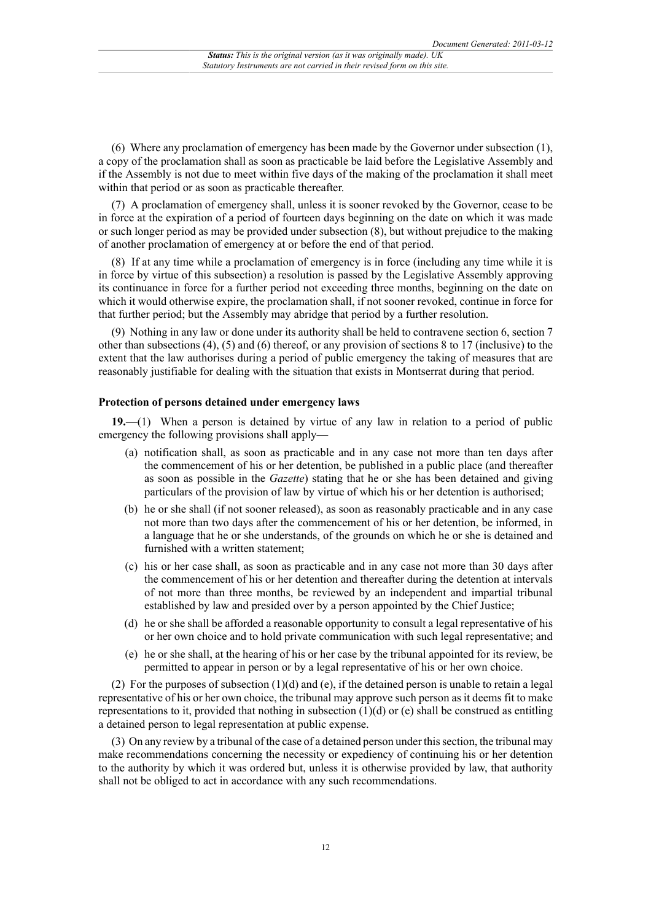(6) Where any proclamation of emergency has been made by the Governor under subsection (1), a copy of the proclamation shall as soon as practicable be laid before the Legislative Assembly and if the Assembly is not due to meet within five days of the making of the proclamation it shall meet within that period or as soon as practicable thereafter.

(7) A proclamation of emergency shall, unless it is sooner revoked by the Governor, cease to be in force at the expiration of a period of fourteen days beginning on the date on which it was made or such longer period as may be provided under subsection (8), but without prejudice to the making of another proclamation of emergency at or before the end of that period.

(8) If at any time while a proclamation of emergency is in force (including any time while it is in force by virtue of this subsection) a resolution is passed by the Legislative Assembly approving its continuance in force for a further period not exceeding three months, beginning on the date on which it would otherwise expire, the proclamation shall, if not sooner revoked, continue in force for that further period; but the Assembly may abridge that period by a further resolution.

(9) Nothing in any law or done under its authority shall be held to contravene section 6, section 7 other than subsections (4), (5) and (6) thereof, or any provision of sections 8 to 17 (inclusive) to the extent that the law authorises during a period of public emergency the taking of measures that are reasonably justifiable for dealing with the situation that exists in Montserrat during that period.

#### **Protection of persons detained under emergency laws**

**19.**—(1) When a person is detained by virtue of any law in relation to a period of public emergency the following provisions shall apply—

- (a) notification shall, as soon as practicable and in any case not more than ten days after the commencement of his or her detention, be published in a public place (and thereafter as soon as possible in the *Gazette*) stating that he or she has been detained and giving particulars of the provision of law by virtue of which his or her detention is authorised;
- (b) he or she shall (if not sooner released), as soon as reasonably practicable and in any case not more than two days after the commencement of his or her detention, be informed, in a language that he or she understands, of the grounds on which he or she is detained and furnished with a written statement;
- (c) his or her case shall, as soon as practicable and in any case not more than 30 days after the commencement of his or her detention and thereafter during the detention at intervals of not more than three months, be reviewed by an independent and impartial tribunal established by law and presided over by a person appointed by the Chief Justice;
- (d) he or she shall be afforded a reasonable opportunity to consult a legal representative of his or her own choice and to hold private communication with such legal representative; and
- (e) he or she shall, at the hearing of his or her case by the tribunal appointed for its review, be permitted to appear in person or by a legal representative of his or her own choice.

(2) For the purposes of subsection  $(1)(d)$  and  $(e)$ , if the detained person is unable to retain a legal representative of his or her own choice, the tribunal may approve such person as it deems fit to make representations to it, provided that nothing in subsection  $(1)(d)$  or (e) shall be construed as entitling a detained person to legal representation at public expense.

(3) On any review by a tribunal of the case of a detained person under this section, the tribunal may make recommendations concerning the necessity or expediency of continuing his or her detention to the authority by which it was ordered but, unless it is otherwise provided by law, that authority shall not be obliged to act in accordance with any such recommendations.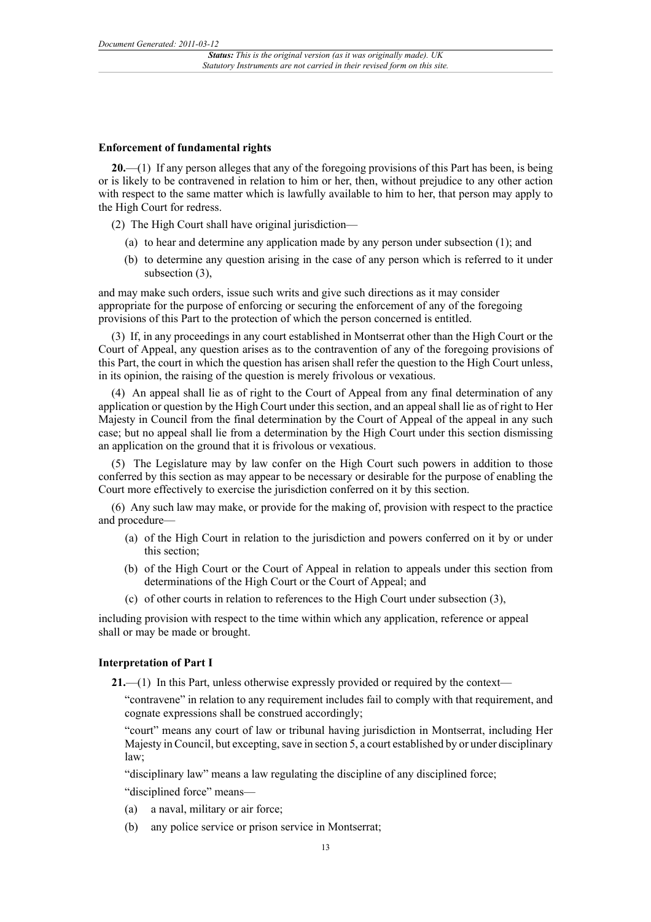#### **Enforcement of fundamental rights**

**20.**—(1) If any person alleges that any of the foregoing provisions of this Part has been, is being or is likely to be contravened in relation to him or her, then, without prejudice to any other action with respect to the same matter which is lawfully available to him to her, that person may apply to the High Court for redress.

- (2) The High Court shall have original jurisdiction—
	- (a) to hear and determine any application made by any person under subsection (1); and
	- (b) to determine any question arising in the case of any person which is referred to it under subsection (3),

and may make such orders, issue such writs and give such directions as it may consider appropriate for the purpose of enforcing or securing the enforcement of any of the foregoing provisions of this Part to the protection of which the person concerned is entitled.

(3) If, in any proceedings in any court established in Montserrat other than the High Court or the Court of Appeal, any question arises as to the contravention of any of the foregoing provisions of this Part, the court in which the question has arisen shall refer the question to the High Court unless, in its opinion, the raising of the question is merely frivolous or vexatious.

(4) An appeal shall lie as of right to the Court of Appeal from any final determination of any application or question by the High Court under this section, and an appeal shall lie as of right to Her Majesty in Council from the final determination by the Court of Appeal of the appeal in any such case; but no appeal shall lie from a determination by the High Court under this section dismissing an application on the ground that it is frivolous or vexatious.

(5) The Legislature may by law confer on the High Court such powers in addition to those conferred by this section as may appear to be necessary or desirable for the purpose of enabling the Court more effectively to exercise the jurisdiction conferred on it by this section.

(6) Any such law may make, or provide for the making of, provision with respect to the practice and procedure—

- (a) of the High Court in relation to the jurisdiction and powers conferred on it by or under this section;
- (b) of the High Court or the Court of Appeal in relation to appeals under this section from determinations of the High Court or the Court of Appeal; and
- (c) of other courts in relation to references to the High Court under subsection (3),

including provision with respect to the time within which any application, reference or appeal shall or may be made or brought.

#### **Interpretation of Part I**

**21.**—(1) In this Part, unless otherwise expressly provided or required by the context—

"contravene" in relation to any requirement includes fail to comply with that requirement, and cognate expressions shall be construed accordingly;

"court" means any court of law or tribunal having jurisdiction in Montserrat, including Her Majesty in Council, but excepting, save in section 5, a court established by or under disciplinary law;

"disciplinary law" means a law regulating the discipline of any disciplined force;

"disciplined force" means—

- (a) a naval, military or air force;
- (b) any police service or prison service in Montserrat;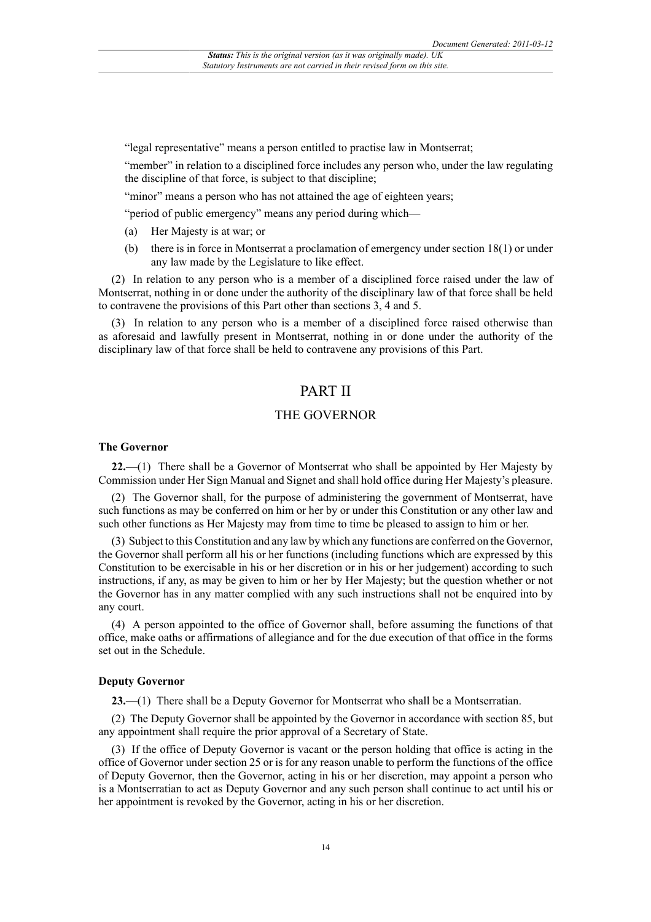"legal representative" means a person entitled to practise law in Montserrat;

"member" in relation to a disciplined force includes any person who, under the law regulating the discipline of that force, is subject to that discipline;

"minor" means a person who has not attained the age of eighteen years;

"period of public emergency" means any period during which—

- (a) Her Majesty is at war; or
- (b) there is in force in Montserrat a proclamation of emergency under section 18(1) or under any law made by the Legislature to like effect.

(2) In relation to any person who is a member of a disciplined force raised under the law of Montserrat, nothing in or done under the authority of the disciplinary law of that force shall be held to contravene the provisions of this Part other than sections 3, 4 and 5.

(3) In relation to any person who is a member of a disciplined force raised otherwise than as aforesaid and lawfully present in Montserrat, nothing in or done under the authority of the disciplinary law of that force shall be held to contravene any provisions of this Part.

# PART II

# THE GOVERNOR

# **The Governor**

**22.**—(1) There shall be a Governor of Montserrat who shall be appointed by Her Majesty by Commission under Her Sign Manual and Signet and shall hold office during Her Majesty's pleasure.

(2) The Governor shall, for the purpose of administering the government of Montserrat, have such functions as may be conferred on him or her by or under this Constitution or any other law and such other functions as Her Majesty may from time to time be pleased to assign to him or her.

(3) Subject to this Constitution and any law by which any functions are conferred on the Governor, the Governor shall perform all his or her functions (including functions which are expressed by this Constitution to be exercisable in his or her discretion or in his or her judgement) according to such instructions, if any, as may be given to him or her by Her Majesty; but the question whether or not the Governor has in any matter complied with any such instructions shall not be enquired into by any court.

(4) A person appointed to the office of Governor shall, before assuming the functions of that office, make oaths or affirmations of allegiance and for the due execution of that office in the forms set out in the Schedule.

#### **Deputy Governor**

**23.**—(1) There shall be a Deputy Governor for Montserrat who shall be a Montserratian.

(2) The Deputy Governor shall be appointed by the Governor in accordance with section 85, but any appointment shall require the prior approval of a Secretary of State.

(3) If the office of Deputy Governor is vacant or the person holding that office is acting in the office of Governor under section 25 or is for any reason unable to perform the functions of the office of Deputy Governor, then the Governor, acting in his or her discretion, may appoint a person who is a Montserratian to act as Deputy Governor and any such person shall continue to act until his or her appointment is revoked by the Governor, acting in his or her discretion.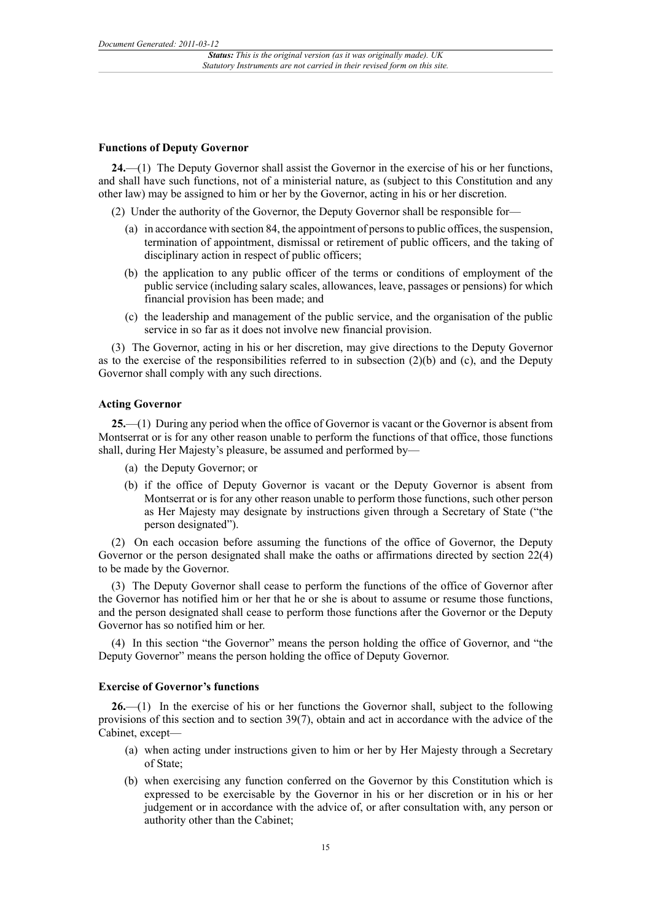#### **Functions of Deputy Governor**

**24.**—(1) The Deputy Governor shall assist the Governor in the exercise of his or her functions, and shall have such functions, not of a ministerial nature, as (subject to this Constitution and any other law) may be assigned to him or her by the Governor, acting in his or her discretion.

(2) Under the authority of the Governor, the Deputy Governor shall be responsible for—

- (a) in accordance with section 84, the appointment of persons to public offices, the suspension, termination of appointment, dismissal or retirement of public officers, and the taking of disciplinary action in respect of public officers;
- (b) the application to any public officer of the terms or conditions of employment of the public service (including salary scales, allowances, leave, passages or pensions) for which financial provision has been made; and
- (c) the leadership and management of the public service, and the organisation of the public service in so far as it does not involve new financial provision.

(3) The Governor, acting in his or her discretion, may give directions to the Deputy Governor as to the exercise of the responsibilities referred to in subsection (2)(b) and (c), and the Deputy Governor shall comply with any such directions.

#### **Acting Governor**

**25.**—(1) During any period when the office of Governor is vacant or the Governor is absent from Montserrat or is for any other reason unable to perform the functions of that office, those functions shall, during Her Majesty's pleasure, be assumed and performed by—

- (a) the Deputy Governor; or
- (b) if the office of Deputy Governor is vacant or the Deputy Governor is absent from Montserrat or is for any other reason unable to perform those functions, such other person as Her Majesty may designate by instructions given through a Secretary of State ("the person designated").

(2) On each occasion before assuming the functions of the office of Governor, the Deputy Governor or the person designated shall make the oaths or affirmations directed by section 22(4) to be made by the Governor.

(3) The Deputy Governor shall cease to perform the functions of the office of Governor after the Governor has notified him or her that he or she is about to assume or resume those functions, and the person designated shall cease to perform those functions after the Governor or the Deputy Governor has so notified him or her.

(4) In this section "the Governor" means the person holding the office of Governor, and "the Deputy Governor" means the person holding the office of Deputy Governor.

#### **Exercise of Governor's functions**

**26.**—(1) In the exercise of his or her functions the Governor shall, subject to the following provisions of this section and to section 39(7), obtain and act in accordance with the advice of the Cabinet, except—

- (a) when acting under instructions given to him or her by Her Majesty through a Secretary of State;
- (b) when exercising any function conferred on the Governor by this Constitution which is expressed to be exercisable by the Governor in his or her discretion or in his or her judgement or in accordance with the advice of, or after consultation with, any person or authority other than the Cabinet;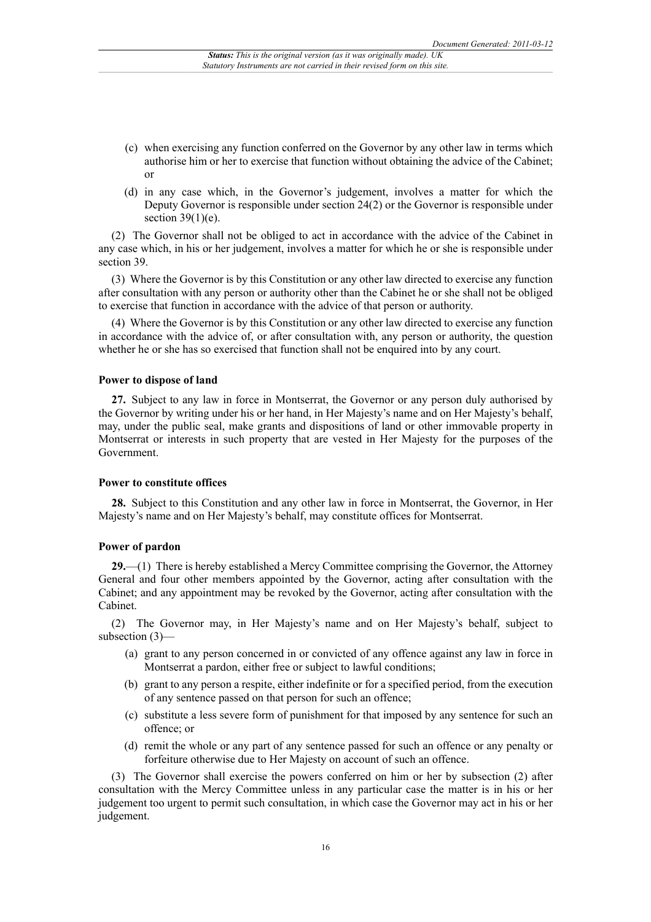- (c) when exercising any function conferred on the Governor by any other law in terms which authorise him or her to exercise that function without obtaining the advice of the Cabinet; or
- (d) in any case which, in the Governor's judgement, involves a matter for which the Deputy Governor is responsible under section 24(2) or the Governor is responsible under section  $39(1)(e)$ .

(2) The Governor shall not be obliged to act in accordance with the advice of the Cabinet in any case which, in his or her judgement, involves a matter for which he or she is responsible under section 39.

(3) Where the Governor is by this Constitution or any other law directed to exercise any function after consultation with any person or authority other than the Cabinet he or she shall not be obliged to exercise that function in accordance with the advice of that person or authority.

(4) Where the Governor is by this Constitution or any other law directed to exercise any function in accordance with the advice of, or after consultation with, any person or authority, the question whether he or she has so exercised that function shall not be enquired into by any court.

# **Power to dispose of land**

**27.** Subject to any law in force in Montserrat, the Governor or any person duly authorised by the Governor by writing under his or her hand, in Her Majesty's name and on Her Majesty's behalf, may, under the public seal, make grants and dispositions of land or other immovable property in Montserrat or interests in such property that are vested in Her Majesty for the purposes of the Government.

#### **Power to constitute offices**

**28.** Subject to this Constitution and any other law in force in Montserrat, the Governor, in Her Majesty's name and on Her Majesty's behalf, may constitute offices for Montserrat.

# **Power of pardon**

**29.**—(1) There is hereby established a Mercy Committee comprising the Governor, the Attorney General and four other members appointed by the Governor, acting after consultation with the Cabinet; and any appointment may be revoked by the Governor, acting after consultation with the Cabinet.

(2) The Governor may, in Her Majesty's name and on Her Majesty's behalf, subject to subsection (3)—

- (a) grant to any person concerned in or convicted of any offence against any law in force in Montserrat a pardon, either free or subject to lawful conditions;
- (b) grant to any person a respite, either indefinite or for a specified period, from the execution of any sentence passed on that person for such an offence;
- (c) substitute a less severe form of punishment for that imposed by any sentence for such an offence; or
- (d) remit the whole or any part of any sentence passed for such an offence or any penalty or forfeiture otherwise due to Her Majesty on account of such an offence.

(3) The Governor shall exercise the powers conferred on him or her by subsection (2) after consultation with the Mercy Committee unless in any particular case the matter is in his or her judgement too urgent to permit such consultation, in which case the Governor may act in his or her judgement.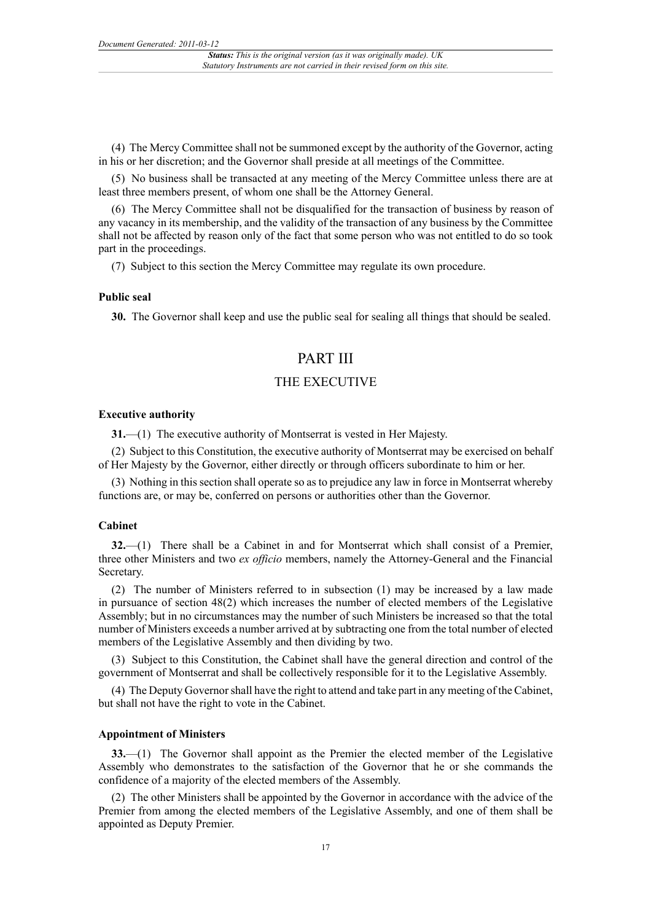(4) The Mercy Committee shall not be summoned except by the authority of the Governor, acting in his or her discretion; and the Governor shall preside at all meetings of the Committee.

(5) No business shall be transacted at any meeting of the Mercy Committee unless there are at least three members present, of whom one shall be the Attorney General.

(6) The Mercy Committee shall not be disqualified for the transaction of business by reason of any vacancy in its membership, and the validity of the transaction of any business by the Committee shall not be affected by reason only of the fact that some person who was not entitled to do so took part in the proceedings.

(7) Subject to this section the Mercy Committee may regulate its own procedure.

# **Public seal**

**30.** The Governor shall keep and use the public seal for sealing all things that should be sealed.

# PART III

# THE EXECUTIVE

# **Executive authority**

**31.**—(1) The executive authority of Montserrat is vested in Her Majesty.

(2) Subject to this Constitution, the executive authority of Montserrat may be exercised on behalf of Her Majesty by the Governor, either directly or through officers subordinate to him or her.

(3) Nothing in this section shall operate so as to prejudice any law in force in Montserrat whereby functions are, or may be, conferred on persons or authorities other than the Governor.

## **Cabinet**

**32.**—(1) There shall be a Cabinet in and for Montserrat which shall consist of a Premier, three other Ministers and two *ex officio* members, namely the Attorney-General and the Financial Secretary.

(2) The number of Ministers referred to in subsection (1) may be increased by a law made in pursuance of section 48(2) which increases the number of elected members of the Legislative Assembly; but in no circumstances may the number of such Ministers be increased so that the total number of Ministers exceeds a number arrived at by subtracting one from the total number of elected members of the Legislative Assembly and then dividing by two.

(3) Subject to this Constitution, the Cabinet shall have the general direction and control of the government of Montserrat and shall be collectively responsible for it to the Legislative Assembly.

(4) The Deputy Governor shall have the right to attend and take part in any meeting of the Cabinet, but shall not have the right to vote in the Cabinet.

#### **Appointment of Ministers**

**33.**—(1) The Governor shall appoint as the Premier the elected member of the Legislative Assembly who demonstrates to the satisfaction of the Governor that he or she commands the confidence of a majority of the elected members of the Assembly.

(2) The other Ministers shall be appointed by the Governor in accordance with the advice of the Premier from among the elected members of the Legislative Assembly, and one of them shall be appointed as Deputy Premier.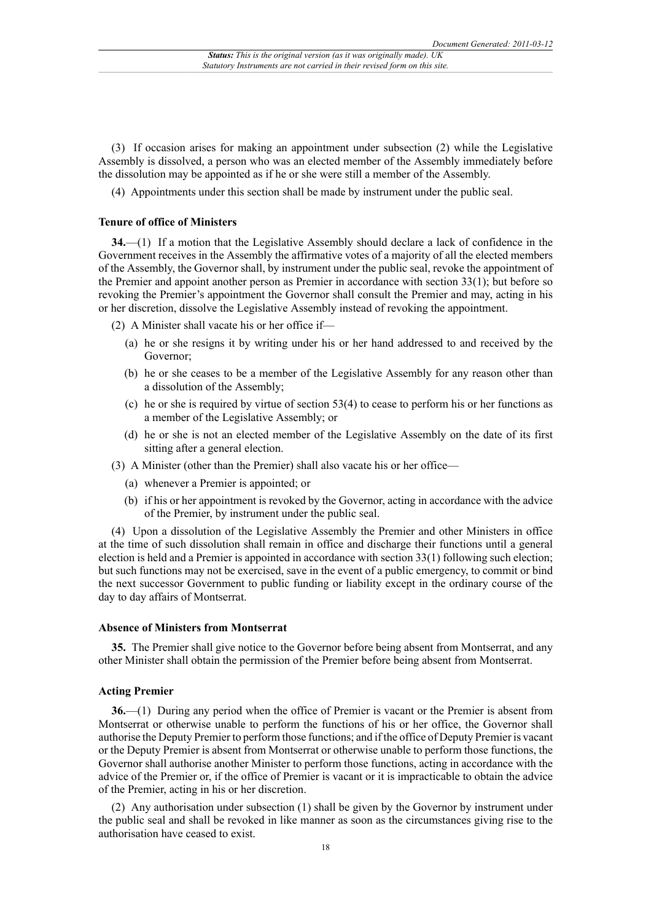(3) If occasion arises for making an appointment under subsection (2) while the Legislative Assembly is dissolved, a person who was an elected member of the Assembly immediately before the dissolution may be appointed as if he or she were still a member of the Assembly.

(4) Appointments under this section shall be made by instrument under the public seal.

# **Tenure of office of Ministers**

**34.**—(1) If a motion that the Legislative Assembly should declare a lack of confidence in the Government receives in the Assembly the affirmative votes of a majority of all the elected members of the Assembly, the Governor shall, by instrument under the public seal, revoke the appointment of the Premier and appoint another person as Premier in accordance with section 33(1); but before so revoking the Premier's appointment the Governor shall consult the Premier and may, acting in his or her discretion, dissolve the Legislative Assembly instead of revoking the appointment.

- (2) A Minister shall vacate his or her office if—
	- (a) he or she resigns it by writing under his or her hand addressed to and received by the Governor;
	- (b) he or she ceases to be a member of the Legislative Assembly for any reason other than a dissolution of the Assembly;
	- (c) he or she is required by virtue of section 53(4) to cease to perform his or her functions as a member of the Legislative Assembly; or
	- (d) he or she is not an elected member of the Legislative Assembly on the date of its first sitting after a general election.
- (3) A Minister (other than the Premier) shall also vacate his or her office—
	- (a) whenever a Premier is appointed; or
	- (b) if his or her appointment is revoked by the Governor, acting in accordance with the advice of the Premier, by instrument under the public seal.

(4) Upon a dissolution of the Legislative Assembly the Premier and other Ministers in office at the time of such dissolution shall remain in office and discharge their functions until a general election is held and a Premier is appointed in accordance with section 33(1) following such election; but such functions may not be exercised, save in the event of a public emergency, to commit or bind the next successor Government to public funding or liability except in the ordinary course of the day to day affairs of Montserrat.

### **Absence of Ministers from Montserrat**

**35.** The Premier shall give notice to the Governor before being absent from Montserrat, and any other Minister shall obtain the permission of the Premier before being absent from Montserrat.

#### **Acting Premier**

**36.**—(1) During any period when the office of Premier is vacant or the Premier is absent from Montserrat or otherwise unable to perform the functions of his or her office, the Governor shall authorise the Deputy Premier to perform those functions; and if the office of Deputy Premier is vacant or the Deputy Premier is absent from Montserrat or otherwise unable to perform those functions, the Governor shall authorise another Minister to perform those functions, acting in accordance with the advice of the Premier or, if the office of Premier is vacant or it is impracticable to obtain the advice of the Premier, acting in his or her discretion.

(2) Any authorisation under subsection (1) shall be given by the Governor by instrument under the public seal and shall be revoked in like manner as soon as the circumstances giving rise to the authorisation have ceased to exist.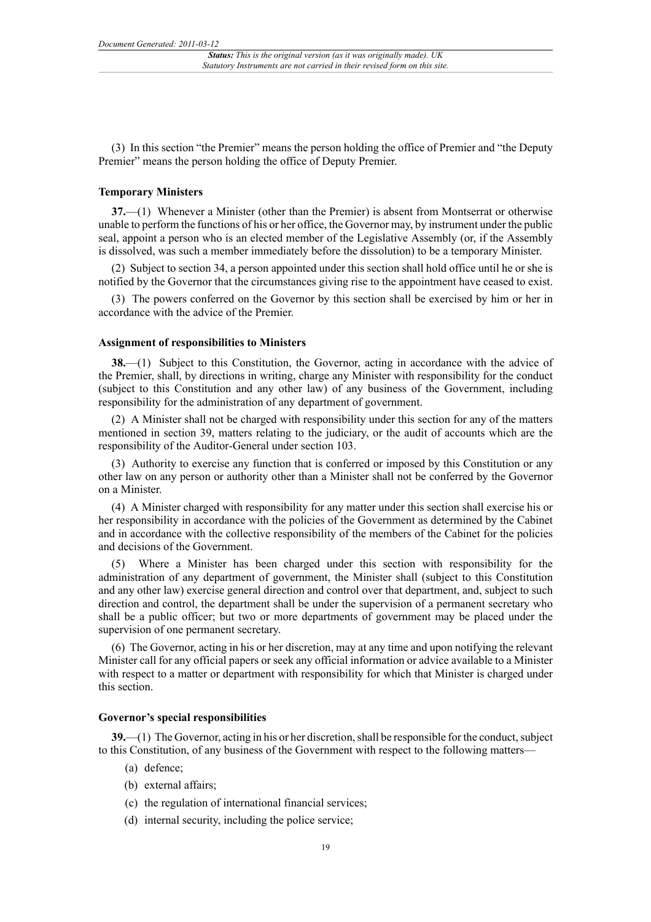(3) In this section "the Premier" means the person holding the office of Premier and "the Deputy Premier" means the person holding the office of Deputy Premier.

### **Temporary Ministers**

**37.**—(1) Whenever a Minister (other than the Premier) is absent from Montserrat or otherwise unable to perform the functions of his or her office, the Governor may, by instrument under the public seal, appoint a person who is an elected member of the Legislative Assembly (or, if the Assembly is dissolved, was such a member immediately before the dissolution) to be a temporary Minister.

(2) Subject to section 34, a person appointed under this section shall hold office until he or she is notified by the Governor that the circumstances giving rise to the appointment have ceased to exist.

(3) The powers conferred on the Governor by this section shall be exercised by him or her in accordance with the advice of the Premier.

# **Assignment of responsibilities to Ministers**

**38.**—(1) Subject to this Constitution, the Governor, acting in accordance with the advice of the Premier, shall, by directions in writing, charge any Minister with responsibility for the conduct (subject to this Constitution and any other law) of any business of the Government, including responsibility for the administration of any department of government.

(2) A Minister shall not be charged with responsibility under this section for any of the matters mentioned in section 39, matters relating to the judiciary, or the audit of accounts which are the responsibility of the Auditor-General under section 103.

(3) Authority to exercise any function that is conferred or imposed by this Constitution or any other law on any person or authority other than a Minister shall not be conferred by the Governor on a Minister.

(4) A Minister charged with responsibility for any matter under this section shall exercise his or her responsibility in accordance with the policies of the Government as determined by the Cabinet and in accordance with the collective responsibility of the members of the Cabinet for the policies and decisions of the Government.

Where a Minister has been charged under this section with responsibility for the administration of any department of government, the Minister shall (subject to this Constitution and any other law) exercise general direction and control over that department, and, subject to such direction and control, the department shall be under the supervision of a permanent secretary who shall be a public officer; but two or more departments of government may be placed under the supervision of one permanent secretary.

(6) The Governor, acting in his or her discretion, may at any time and upon notifying the relevant Minister call for any official papers or seek any official information or advice available to a Minister with respect to a matter or department with responsibility for which that Minister is charged under this section.

# **Governor's special responsibilities**

**39.**—(1) The Governor, acting in his or her discretion, shall be responsible for the conduct, subject to this Constitution, of any business of the Government with respect to the following matters—

- (a) defence;
- (b) external affairs;
- (c) the regulation of international financial services;
- (d) internal security, including the police service;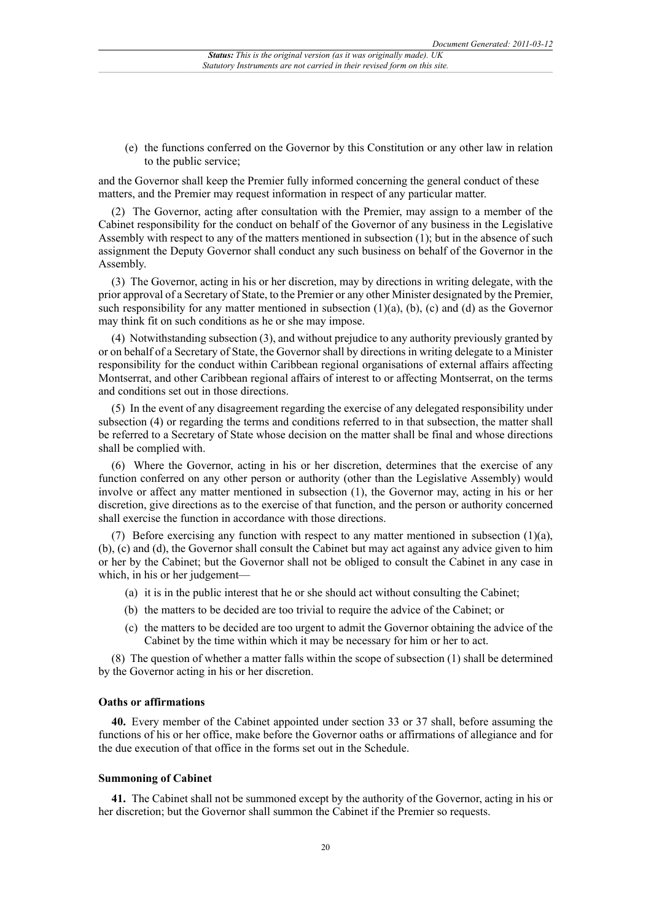(e) the functions conferred on the Governor by this Constitution or any other law in relation to the public service;

and the Governor shall keep the Premier fully informed concerning the general conduct of these matters, and the Premier may request information in respect of any particular matter.

(2) The Governor, acting after consultation with the Premier, may assign to a member of the Cabinet responsibility for the conduct on behalf of the Governor of any business in the Legislative Assembly with respect to any of the matters mentioned in subsection (1); but in the absence of such assignment the Deputy Governor shall conduct any such business on behalf of the Governor in the Assembly.

(3) The Governor, acting in his or her discretion, may by directions in writing delegate, with the prior approval of a Secretary of State, to the Premier or any other Minister designated by the Premier, such responsibility for any matter mentioned in subsection  $(1)(a)$ ,  $(b)$ ,  $(c)$  and  $(d)$  as the Governor may think fit on such conditions as he or she may impose.

(4) Notwithstanding subsection (3), and without prejudice to any authority previously granted by or on behalf of a Secretary of State, the Governor shall by directions in writing delegate to a Minister responsibility for the conduct within Caribbean regional organisations of external affairs affecting Montserrat, and other Caribbean regional affairs of interest to or affecting Montserrat, on the terms and conditions set out in those directions.

(5) In the event of any disagreement regarding the exercise of any delegated responsibility under subsection (4) or regarding the terms and conditions referred to in that subsection, the matter shall be referred to a Secretary of State whose decision on the matter shall be final and whose directions shall be complied with.

(6) Where the Governor, acting in his or her discretion, determines that the exercise of any function conferred on any other person or authority (other than the Legislative Assembly) would involve or affect any matter mentioned in subsection (1), the Governor may, acting in his or her discretion, give directions as to the exercise of that function, and the person or authority concerned shall exercise the function in accordance with those directions.

(7) Before exercising any function with respect to any matter mentioned in subsection (1)(a), (b), (c) and (d), the Governor shall consult the Cabinet but may act against any advice given to him or her by the Cabinet; but the Governor shall not be obliged to consult the Cabinet in any case in which, in his or her judgement—

- (a) it is in the public interest that he or she should act without consulting the Cabinet;
- (b) the matters to be decided are too trivial to require the advice of the Cabinet; or
- (c) the matters to be decided are too urgent to admit the Governor obtaining the advice of the Cabinet by the time within which it may be necessary for him or her to act.

(8) The question of whether a matter falls within the scope of subsection (1) shall be determined by the Governor acting in his or her discretion.

### **Oaths or affirmations**

**40.** Every member of the Cabinet appointed under section 33 or 37 shall, before assuming the functions of his or her office, make before the Governor oaths or affirmations of allegiance and for the due execution of that office in the forms set out in the Schedule.

# **Summoning of Cabinet**

**41.** The Cabinet shall not be summoned except by the authority of the Governor, acting in his or her discretion; but the Governor shall summon the Cabinet if the Premier so requests.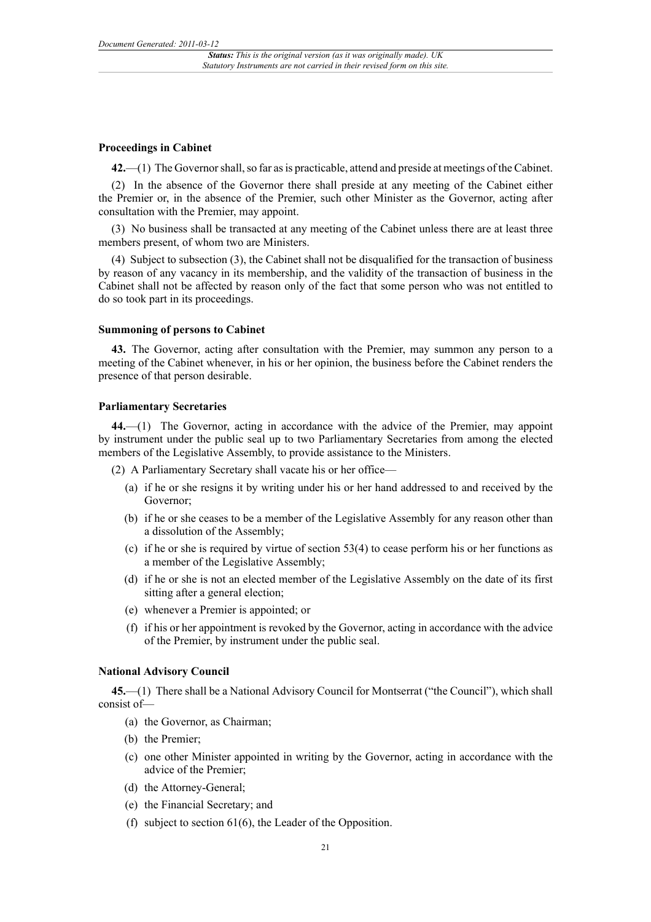#### **Proceedings in Cabinet**

**42.**—(1) The Governor shall, so far as is practicable, attend and preside at meetings of the Cabinet.

(2) In the absence of the Governor there shall preside at any meeting of the Cabinet either the Premier or, in the absence of the Premier, such other Minister as the Governor, acting after consultation with the Premier, may appoint.

(3) No business shall be transacted at any meeting of the Cabinet unless there are at least three members present, of whom two are Ministers.

(4) Subject to subsection (3), the Cabinet shall not be disqualified for the transaction of business by reason of any vacancy in its membership, and the validity of the transaction of business in the Cabinet shall not be affected by reason only of the fact that some person who was not entitled to do so took part in its proceedings.

### **Summoning of persons to Cabinet**

**43.** The Governor, acting after consultation with the Premier, may summon any person to a meeting of the Cabinet whenever, in his or her opinion, the business before the Cabinet renders the presence of that person desirable.

#### **Parliamentary Secretaries**

**44.**—(1) The Governor, acting in accordance with the advice of the Premier, may appoint by instrument under the public seal up to two Parliamentary Secretaries from among the elected members of the Legislative Assembly, to provide assistance to the Ministers.

(2) A Parliamentary Secretary shall vacate his or her office—

- (a) if he or she resigns it by writing under his or her hand addressed to and received by the Governor;
- (b) if he or she ceases to be a member of the Legislative Assembly for any reason other than a dissolution of the Assembly;
- (c) if he or she is required by virtue of section 53(4) to cease perform his or her functions as a member of the Legislative Assembly;
- (d) if he or she is not an elected member of the Legislative Assembly on the date of its first sitting after a general election;
- (e) whenever a Premier is appointed; or
- (f) if his or her appointment is revoked by the Governor, acting in accordance with the advice of the Premier, by instrument under the public seal.

#### **National Advisory Council**

**45.**—(1) There shall be a National Advisory Council for Montserrat ("the Council"), which shall consist of—

- (a) the Governor, as Chairman;
- (b) the Premier;
- (c) one other Minister appointed in writing by the Governor, acting in accordance with the advice of the Premier;
- (d) the Attorney-General;
- (e) the Financial Secretary; and
- (f) subject to section 61(6), the Leader of the Opposition.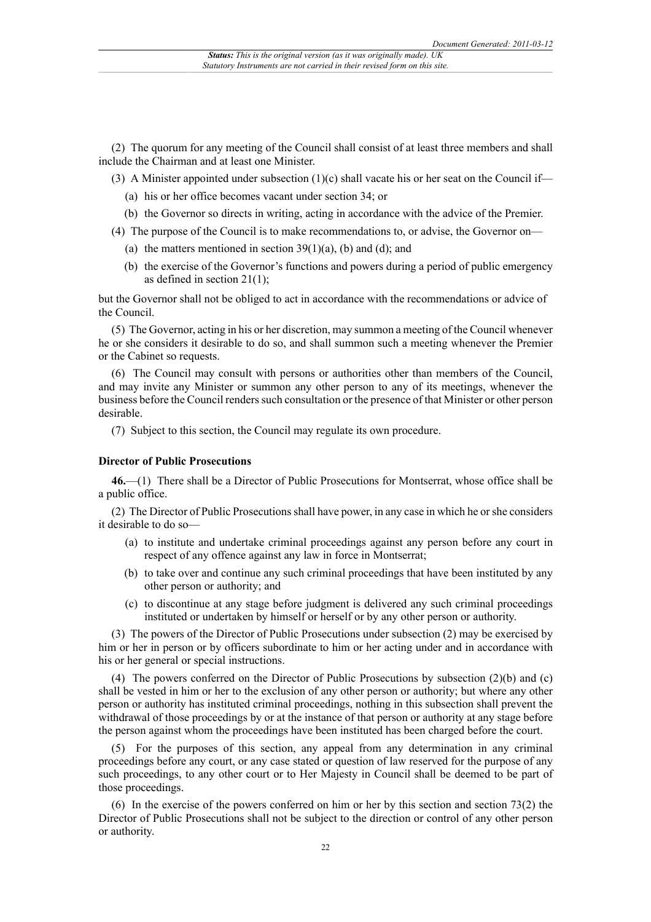(2) The quorum for any meeting of the Council shall consist of at least three members and shall include the Chairman and at least one Minister.

(3) A Minister appointed under subsection  $(1)(c)$  shall vacate his or her seat on the Council if—

- (a) his or her office becomes vacant under section 34; or
- (b) the Governor so directs in writing, acting in accordance with the advice of the Premier.

(4) The purpose of the Council is to make recommendations to, or advise, the Governor on—

- (a) the matters mentioned in section  $39(1)(a)$ , (b) and (d); and
- (b) the exercise of the Governor's functions and powers during a period of public emergency as defined in section 21(1);

but the Governor shall not be obliged to act in accordance with the recommendations or advice of the Council.

(5) The Governor, acting in his or her discretion, may summon a meeting of the Council whenever he or she considers it desirable to do so, and shall summon such a meeting whenever the Premier or the Cabinet so requests.

(6) The Council may consult with persons or authorities other than members of the Council, and may invite any Minister or summon any other person to any of its meetings, whenever the business before the Council renders such consultation or the presence of that Minister or other person desirable.

(7) Subject to this section, the Council may regulate its own procedure.

# **Director of Public Prosecutions**

**46.**—(1) There shall be a Director of Public Prosecutions for Montserrat, whose office shall be a public office.

(2) The Director of Public Prosecutions shall have power, in any case in which he or she considers it desirable to do so—

- (a) to institute and undertake criminal proceedings against any person before any court in respect of any offence against any law in force in Montserrat;
- (b) to take over and continue any such criminal proceedings that have been instituted by any other person or authority; and
- (c) to discontinue at any stage before judgment is delivered any such criminal proceedings instituted or undertaken by himself or herself or by any other person or authority.

(3) The powers of the Director of Public Prosecutions under subsection (2) may be exercised by him or her in person or by officers subordinate to him or her acting under and in accordance with his or her general or special instructions.

(4) The powers conferred on the Director of Public Prosecutions by subsection (2)(b) and (c) shall be vested in him or her to the exclusion of any other person or authority; but where any other person or authority has instituted criminal proceedings, nothing in this subsection shall prevent the withdrawal of those proceedings by or at the instance of that person or authority at any stage before the person against whom the proceedings have been instituted has been charged before the court.

(5) For the purposes of this section, any appeal from any determination in any criminal proceedings before any court, or any case stated or question of law reserved for the purpose of any such proceedings, to any other court or to Her Majesty in Council shall be deemed to be part of those proceedings.

(6) In the exercise of the powers conferred on him or her by this section and section 73(2) the Director of Public Prosecutions shall not be subject to the direction or control of any other person or authority.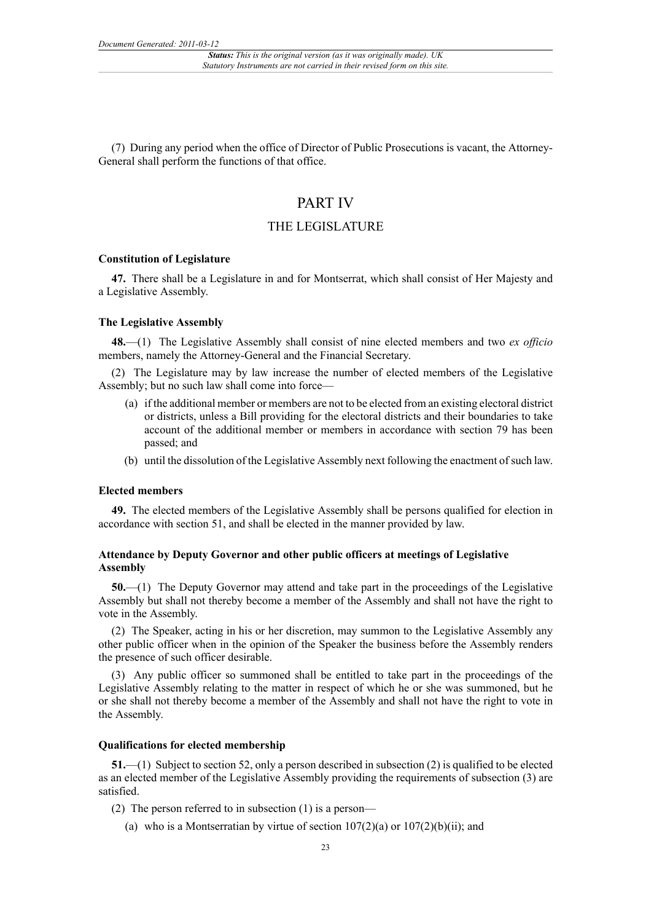(7) During any period when the office of Director of Public Prosecutions is vacant, the Attorney-General shall perform the functions of that office.

# PART IV

# THE LEGISLATURE

# **Constitution of Legislature**

**47.** There shall be a Legislature in and for Montserrat, which shall consist of Her Majesty and a Legislative Assembly.

#### **The Legislative Assembly**

**48.**—(1) The Legislative Assembly shall consist of nine elected members and two *ex officio* members, namely the Attorney-General and the Financial Secretary.

(2) The Legislature may by law increase the number of elected members of the Legislative Assembly; but no such law shall come into force—

- (a) if the additional member or members are not to be elected from an existing electoral district or districts, unless a Bill providing for the electoral districts and their boundaries to take account of the additional member or members in accordance with section 79 has been passed; and
- (b) until the dissolution of the Legislative Assembly next following the enactment of such law.

#### **Elected members**

**49.** The elected members of the Legislative Assembly shall be persons qualified for election in accordance with section 51, and shall be elected in the manner provided by law.

# **Attendance by Deputy Governor and other public officers at meetings of Legislative Assembly**

**50.**—(1) The Deputy Governor may attend and take part in the proceedings of the Legislative Assembly but shall not thereby become a member of the Assembly and shall not have the right to vote in the Assembly.

(2) The Speaker, acting in his or her discretion, may summon to the Legislative Assembly any other public officer when in the opinion of the Speaker the business before the Assembly renders the presence of such officer desirable.

(3) Any public officer so summoned shall be entitled to take part in the proceedings of the Legislative Assembly relating to the matter in respect of which he or she was summoned, but he or she shall not thereby become a member of the Assembly and shall not have the right to vote in the Assembly.

#### **Qualifications for elected membership**

**51.**—(1) Subject to section 52, only a person described in subsection (2) is qualified to be elected as an elected member of the Legislative Assembly providing the requirements of subsection (3) are satisfied.

(2) The person referred to in subsection (1) is a person—

(a) who is a Montserratian by virtue of section  $107(2)(a)$  or  $107(2)(b)(ii)$ ; and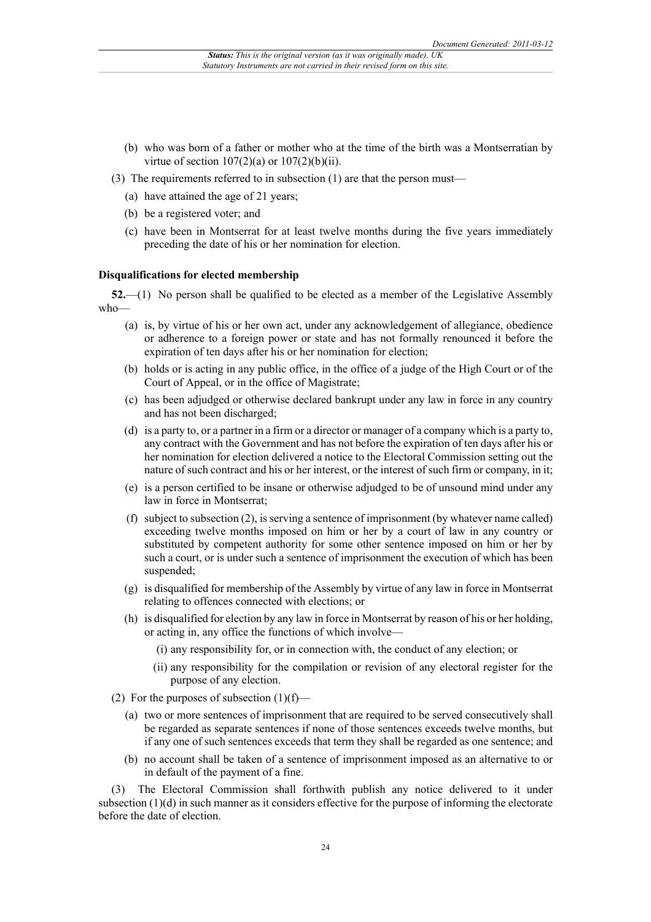- (b) who was born of a father or mother who at the time of the birth was a Montserratian by virtue of section  $107(2)(a)$  or  $107(2)(b)(ii)$ .
- (3) The requirements referred to in subsection (1) are that the person must—
	- (a) have attained the age of 21 years;
	- (b) be a registered voter; and
	- (c) have been in Montserrat for at least twelve months during the five years immediately preceding the date of his or her nomination for election.

#### **Disqualifications for elected membership**

**52.**—(1) No person shall be qualified to be elected as a member of the Legislative Assembly who—

- (a) is, by virtue of his or her own act, under any acknowledgement of allegiance, obedience or adherence to a foreign power or state and has not formally renounced it before the expiration of ten days after his or her nomination for election;
- (b) holds or is acting in any public office, in the office of a judge of the High Court or of the Court of Appeal, or in the office of Magistrate;
- (c) has been adjudged or otherwise declared bankrupt under any law in force in any country and has not been discharged;
- (d) is a party to, or a partner in a firm or a director or manager of a company which is a party to, any contract with the Government and has not before the expiration of ten days after his or her nomination for election delivered a notice to the Electoral Commission setting out the nature of such contract and his or her interest, or the interest of such firm or company, in it;
- (e) is a person certified to be insane or otherwise adjudged to be of unsound mind under any law in force in Montserrat;
- (f) subject to subsection (2), is serving a sentence of imprisonment (by whatever name called) exceeding twelve months imposed on him or her by a court of law in any country or substituted by competent authority for some other sentence imposed on him or her by such a court, or is under such a sentence of imprisonment the execution of which has been suspended;
- (g) is disqualified for membership of the Assembly by virtue of any law in force in Montserrat relating to offences connected with elections; or
- (h) is disqualified for election by any law in force in Montserrat by reason of his or her holding, or acting in, any office the functions of which involve—
	- (i) any responsibility for, or in connection with, the conduct of any election; or
	- (ii) any responsibility for the compilation or revision of any electoral register for the purpose of any election.
- (2) For the purposes of subsection  $(1)(f)$ 
	- (a) two or more sentences of imprisonment that are required to be served consecutively shall be regarded as separate sentences if none of those sentences exceeds twelve months, but if any one of such sentences exceeds that term they shall be regarded as one sentence; and
	- (b) no account shall be taken of a sentence of imprisonment imposed as an alternative to or in default of the payment of a fine.

The Electoral Commission shall forthwith publish any notice delivered to it under subsection  $(1)(d)$  in such manner as it considers effective for the purpose of informing the electorate before the date of election.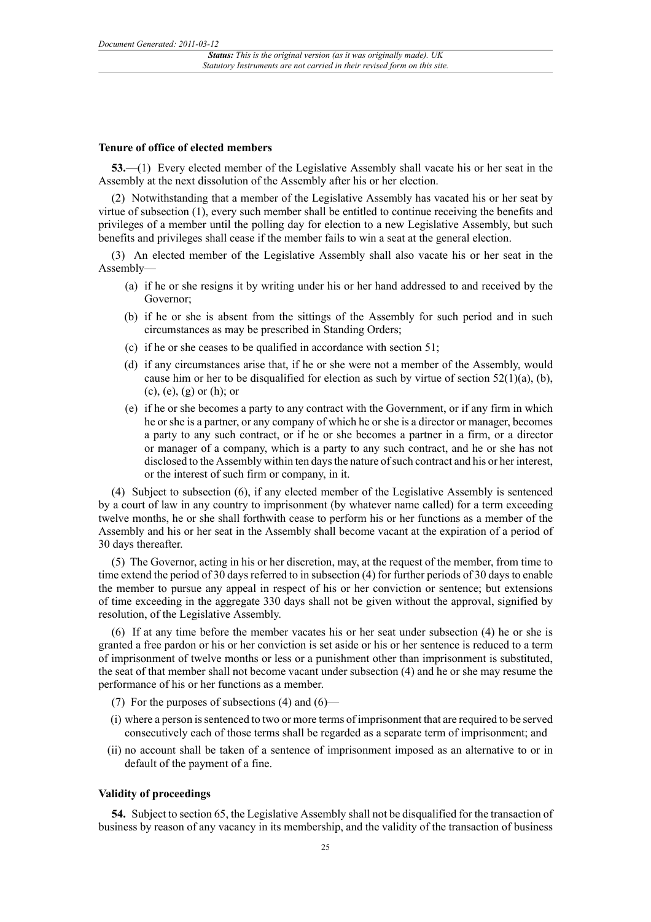#### **Tenure of office of elected members**

**53.**—(1) Every elected member of the Legislative Assembly shall vacate his or her seat in the Assembly at the next dissolution of the Assembly after his or her election.

(2) Notwithstanding that a member of the Legislative Assembly has vacated his or her seat by virtue of subsection (1), every such member shall be entitled to continue receiving the benefits and privileges of a member until the polling day for election to a new Legislative Assembly, but such benefits and privileges shall cease if the member fails to win a seat at the general election.

(3) An elected member of the Legislative Assembly shall also vacate his or her seat in the Assembly—

- (a) if he or she resigns it by writing under his or her hand addressed to and received by the Governor;
- (b) if he or she is absent from the sittings of the Assembly for such period and in such circumstances as may be prescribed in Standing Orders;
- (c) if he or she ceases to be qualified in accordance with section 51;
- (d) if any circumstances arise that, if he or she were not a member of the Assembly, would cause him or her to be disqualified for election as such by virtue of section  $52(1)(a)$ , (b), (c), (e), (g) or (h); or
- (e) if he or she becomes a party to any contract with the Government, or if any firm in which he or she is a partner, or any company of which he or she is a director or manager, becomes a party to any such contract, or if he or she becomes a partner in a firm, or a director or manager of a company, which is a party to any such contract, and he or she has not disclosed to the Assembly within ten days the nature of such contract and his or her interest, or the interest of such firm or company, in it.

(4) Subject to subsection (6), if any elected member of the Legislative Assembly is sentenced by a court of law in any country to imprisonment (by whatever name called) for a term exceeding twelve months, he or she shall forthwith cease to perform his or her functions as a member of the Assembly and his or her seat in the Assembly shall become vacant at the expiration of a period of 30 days thereafter.

(5) The Governor, acting in his or her discretion, may, at the request of the member, from time to time extend the period of 30 days referred to in subsection (4) for further periods of 30 days to enable the member to pursue any appeal in respect of his or her conviction or sentence; but extensions of time exceeding in the aggregate 330 days shall not be given without the approval, signified by resolution, of the Legislative Assembly.

(6) If at any time before the member vacates his or her seat under subsection (4) he or she is granted a free pardon or his or her conviction is set aside or his or her sentence is reduced to a term of imprisonment of twelve months or less or a punishment other than imprisonment is substituted, the seat of that member shall not become vacant under subsection (4) and he or she may resume the performance of his or her functions as a member.

- (7) For the purposes of subsections (4) and (6)—
- (i) where a person is sentenced to two or more terms of imprisonment that are required to be served consecutively each of those terms shall be regarded as a separate term of imprisonment; and
- (ii) no account shall be taken of a sentence of imprisonment imposed as an alternative to or in default of the payment of a fine.

#### **Validity of proceedings**

**54.** Subject to section 65, the Legislative Assembly shall not be disqualified for the transaction of business by reason of any vacancy in its membership, and the validity of the transaction of business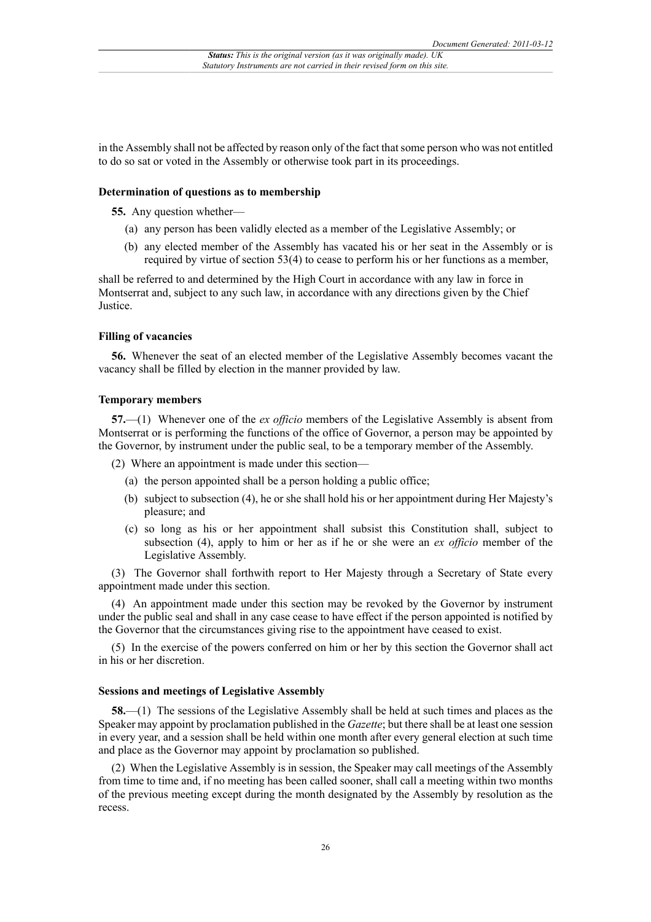in the Assembly shall not be affected by reason only of the fact that some person who was not entitled to do so sat or voted in the Assembly or otherwise took part in its proceedings.

#### **Determination of questions as to membership**

**55.** Any question whether—

- (a) any person has been validly elected as a member of the Legislative Assembly; or
- (b) any elected member of the Assembly has vacated his or her seat in the Assembly or is required by virtue of section 53(4) to cease to perform his or her functions as a member,

shall be referred to and determined by the High Court in accordance with any law in force in Montserrat and, subject to any such law, in accordance with any directions given by the Chief Justice.

### **Filling of vacancies**

**56.** Whenever the seat of an elected member of the Legislative Assembly becomes vacant the vacancy shall be filled by election in the manner provided by law.

# **Temporary members**

**57.**—(1) Whenever one of the *ex officio* members of the Legislative Assembly is absent from Montserrat or is performing the functions of the office of Governor, a person may be appointed by the Governor, by instrument under the public seal, to be a temporary member of the Assembly.

(2) Where an appointment is made under this section—

- (a) the person appointed shall be a person holding a public office;
- (b) subject to subsection (4), he or she shall hold his or her appointment during Her Majesty's pleasure; and
- (c) so long as his or her appointment shall subsist this Constitution shall, subject to subsection (4), apply to him or her as if he or she were an *ex officio* member of the Legislative Assembly.

(3) The Governor shall forthwith report to Her Majesty through a Secretary of State every appointment made under this section.

(4) An appointment made under this section may be revoked by the Governor by instrument under the public seal and shall in any case cease to have effect if the person appointed is notified by the Governor that the circumstances giving rise to the appointment have ceased to exist.

(5) In the exercise of the powers conferred on him or her by this section the Governor shall act in his or her discretion.

#### **Sessions and meetings of Legislative Assembly**

**58.**—(1) The sessions of the Legislative Assembly shall be held at such times and places as the Speaker may appoint by proclamation published in the *Gazette*; but there shall be at least one session in every year, and a session shall be held within one month after every general election at such time and place as the Governor may appoint by proclamation so published.

(2) When the Legislative Assembly is in session, the Speaker may call meetings of the Assembly from time to time and, if no meeting has been called sooner, shall call a meeting within two months of the previous meeting except during the month designated by the Assembly by resolution as the recess.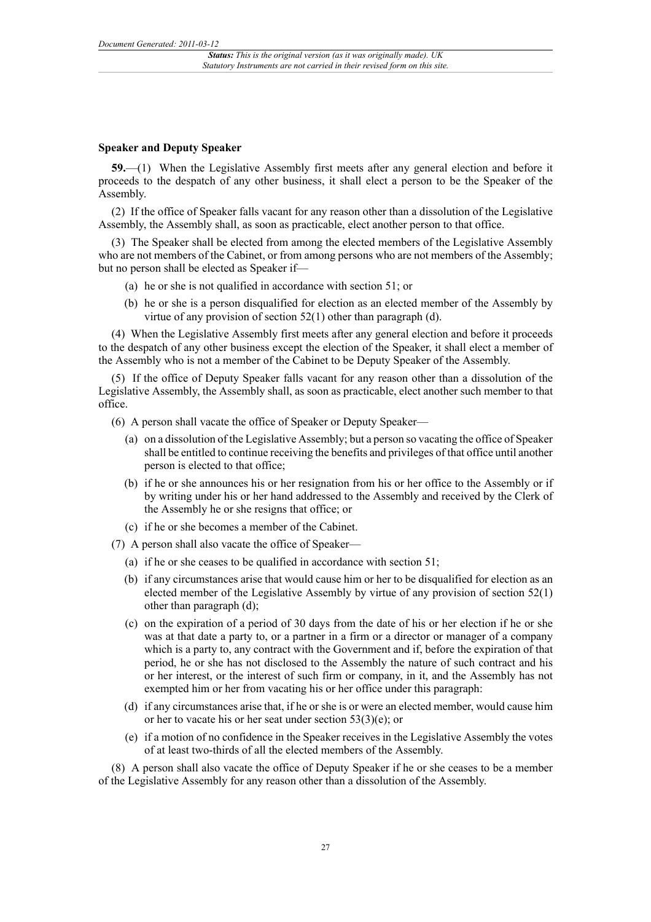#### **Speaker and Deputy Speaker**

**59.**—(1) When the Legislative Assembly first meets after any general election and before it proceeds to the despatch of any other business, it shall elect a person to be the Speaker of the Assembly.

(2) If the office of Speaker falls vacant for any reason other than a dissolution of the Legislative Assembly, the Assembly shall, as soon as practicable, elect another person to that office.

(3) The Speaker shall be elected from among the elected members of the Legislative Assembly who are not members of the Cabinet, or from among persons who are not members of the Assembly; but no person shall be elected as Speaker if—

- (a) he or she is not qualified in accordance with section 51; or
- (b) he or she is a person disqualified for election as an elected member of the Assembly by virtue of any provision of section 52(1) other than paragraph (d).

(4) When the Legislative Assembly first meets after any general election and before it proceeds to the despatch of any other business except the election of the Speaker, it shall elect a member of the Assembly who is not a member of the Cabinet to be Deputy Speaker of the Assembly.

(5) If the office of Deputy Speaker falls vacant for any reason other than a dissolution of the Legislative Assembly, the Assembly shall, as soon as practicable, elect another such member to that office.

(6) A person shall vacate the office of Speaker or Deputy Speaker—

- (a) on a dissolution of the Legislative Assembly; but a person so vacating the office of Speaker shall be entitled to continue receiving the benefits and privileges of that office until another person is elected to that office;
- (b) if he or she announces his or her resignation from his or her office to the Assembly or if by writing under his or her hand addressed to the Assembly and received by the Clerk of the Assembly he or she resigns that office; or
- (c) if he or she becomes a member of the Cabinet.
- (7) A person shall also vacate the office of Speaker—
	- (a) if he or she ceases to be qualified in accordance with section 51;
	- (b) if any circumstances arise that would cause him or her to be disqualified for election as an elected member of the Legislative Assembly by virtue of any provision of section 52(1) other than paragraph (d);
	- (c) on the expiration of a period of 30 days from the date of his or her election if he or she was at that date a party to, or a partner in a firm or a director or manager of a company which is a party to, any contract with the Government and if, before the expiration of that period, he or she has not disclosed to the Assembly the nature of such contract and his or her interest, or the interest of such firm or company, in it, and the Assembly has not exempted him or her from vacating his or her office under this paragraph:
	- (d) if any circumstances arise that, if he or she is or were an elected member, would cause him or her to vacate his or her seat under section 53(3)(e); or
	- (e) if a motion of no confidence in the Speaker receives in the Legislative Assembly the votes of at least two-thirds of all the elected members of the Assembly.

(8) A person shall also vacate the office of Deputy Speaker if he or she ceases to be a member of the Legislative Assembly for any reason other than a dissolution of the Assembly.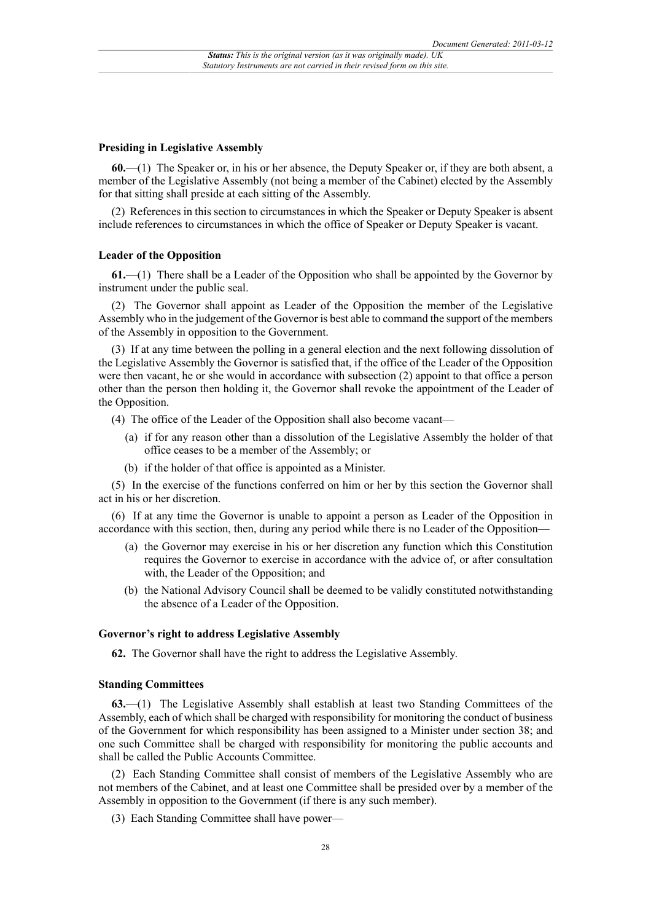#### **Presiding in Legislative Assembly**

**60.**—(1) The Speaker or, in his or her absence, the Deputy Speaker or, if they are both absent, a member of the Legislative Assembly (not being a member of the Cabinet) elected by the Assembly for that sitting shall preside at each sitting of the Assembly.

(2) References in this section to circumstances in which the Speaker or Deputy Speaker is absent include references to circumstances in which the office of Speaker or Deputy Speaker is vacant.

#### **Leader of the Opposition**

**61.**—(1) There shall be a Leader of the Opposition who shall be appointed by the Governor by instrument under the public seal.

(2) The Governor shall appoint as Leader of the Opposition the member of the Legislative Assembly who in the judgement of the Governor is best able to command the support of the members of the Assembly in opposition to the Government.

(3) If at any time between the polling in a general election and the next following dissolution of the Legislative Assembly the Governor is satisfied that, if the office of the Leader of the Opposition were then vacant, he or she would in accordance with subsection (2) appoint to that office a person other than the person then holding it, the Governor shall revoke the appointment of the Leader of the Opposition.

(4) The office of the Leader of the Opposition shall also become vacant—

- (a) if for any reason other than a dissolution of the Legislative Assembly the holder of that office ceases to be a member of the Assembly; or
- (b) if the holder of that office is appointed as a Minister.

(5) In the exercise of the functions conferred on him or her by this section the Governor shall act in his or her discretion.

(6) If at any time the Governor is unable to appoint a person as Leader of the Opposition in accordance with this section, then, during any period while there is no Leader of the Opposition—

- (a) the Governor may exercise in his or her discretion any function which this Constitution requires the Governor to exercise in accordance with the advice of, or after consultation with, the Leader of the Opposition; and
- (b) the National Advisory Council shall be deemed to be validly constituted notwithstanding the absence of a Leader of the Opposition.

#### **Governor's right to address Legislative Assembly**

**62.** The Governor shall have the right to address the Legislative Assembly.

#### **Standing Committees**

**63.**—(1) The Legislative Assembly shall establish at least two Standing Committees of the Assembly, each of which shall be charged with responsibility for monitoring the conduct of business of the Government for which responsibility has been assigned to a Minister under section 38; and one such Committee shall be charged with responsibility for monitoring the public accounts and shall be called the Public Accounts Committee.

(2) Each Standing Committee shall consist of members of the Legislative Assembly who are not members of the Cabinet, and at least one Committee shall be presided over by a member of the Assembly in opposition to the Government (if there is any such member).

(3) Each Standing Committee shall have power—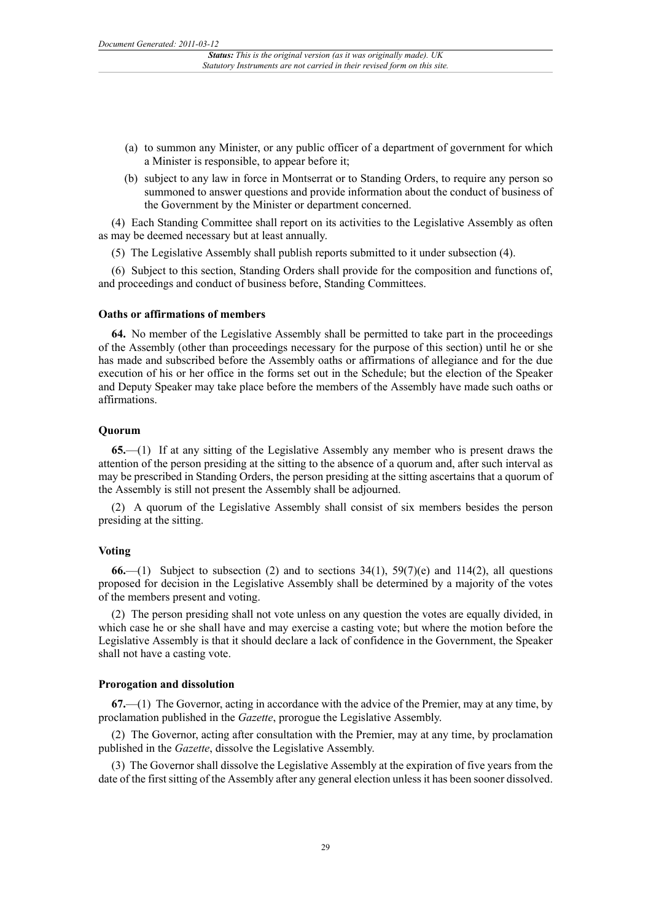- (a) to summon any Minister, or any public officer of a department of government for which a Minister is responsible, to appear before it;
- (b) subject to any law in force in Montserrat or to Standing Orders, to require any person so summoned to answer questions and provide information about the conduct of business of the Government by the Minister or department concerned.

(4) Each Standing Committee shall report on its activities to the Legislative Assembly as often as may be deemed necessary but at least annually.

(5) The Legislative Assembly shall publish reports submitted to it under subsection (4).

(6) Subject to this section, Standing Orders shall provide for the composition and functions of, and proceedings and conduct of business before, Standing Committees.

# **Oaths or affirmations of members**

**64.** No member of the Legislative Assembly shall be permitted to take part in the proceedings of the Assembly (other than proceedings necessary for the purpose of this section) until he or she has made and subscribed before the Assembly oaths or affirmations of allegiance and for the due execution of his or her office in the forms set out in the Schedule; but the election of the Speaker and Deputy Speaker may take place before the members of the Assembly have made such oaths or affirmations.

# **Quorum**

**65.**—(1) If at any sitting of the Legislative Assembly any member who is present draws the attention of the person presiding at the sitting to the absence of a quorum and, after such interval as may be prescribed in Standing Orders, the person presiding at the sitting ascertains that a quorum of the Assembly is still not present the Assembly shall be adjourned.

(2) A quorum of the Legislative Assembly shall consist of six members besides the person presiding at the sitting.

# **Voting**

**66.**—(1) Subject to subsection (2) and to sections  $34(1)$ ,  $59(7)(e)$  and  $114(2)$ , all questions proposed for decision in the Legislative Assembly shall be determined by a majority of the votes of the members present and voting.

(2) The person presiding shall not vote unless on any question the votes are equally divided, in which case he or she shall have and may exercise a casting vote; but where the motion before the Legislative Assembly is that it should declare a lack of confidence in the Government, the Speaker shall not have a casting vote.

#### **Prorogation and dissolution**

**67.**—(1) The Governor, acting in accordance with the advice of the Premier, may at any time, by proclamation published in the *Gazette*, prorogue the Legislative Assembly.

(2) The Governor, acting after consultation with the Premier, may at any time, by proclamation published in the *Gazette*, dissolve the Legislative Assembly.

(3) The Governor shall dissolve the Legislative Assembly at the expiration of five years from the date of the first sitting of the Assembly after any general election unless it has been sooner dissolved.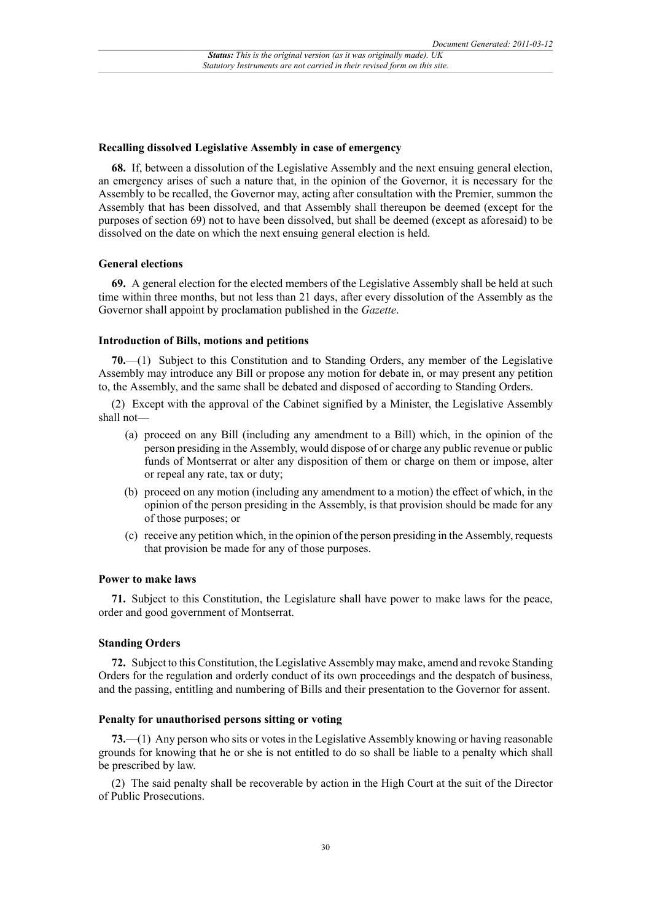#### **Recalling dissolved Legislative Assembly in case of emergency**

**68.** If, between a dissolution of the Legislative Assembly and the next ensuing general election, an emergency arises of such a nature that, in the opinion of the Governor, it is necessary for the Assembly to be recalled, the Governor may, acting after consultation with the Premier, summon the Assembly that has been dissolved, and that Assembly shall thereupon be deemed (except for the purposes of section 69) not to have been dissolved, but shall be deemed (except as aforesaid) to be dissolved on the date on which the next ensuing general election is held.

#### **General elections**

**69.** A general election for the elected members of the Legislative Assembly shall be held at such time within three months, but not less than 21 days, after every dissolution of the Assembly as the Governor shall appoint by proclamation published in the *Gazette*.

# **Introduction of Bills, motions and petitions**

**70.**—(1) Subject to this Constitution and to Standing Orders, any member of the Legislative Assembly may introduce any Bill or propose any motion for debate in, or may present any petition to, the Assembly, and the same shall be debated and disposed of according to Standing Orders.

(2) Except with the approval of the Cabinet signified by a Minister, the Legislative Assembly shall not—

- (a) proceed on any Bill (including any amendment to a Bill) which, in the opinion of the person presiding in the Assembly, would dispose of or charge any public revenue or public funds of Montserrat or alter any disposition of them or charge on them or impose, alter or repeal any rate, tax or duty;
- (b) proceed on any motion (including any amendment to a motion) the effect of which, in the opinion of the person presiding in the Assembly, is that provision should be made for any of those purposes; or
- (c) receive any petition which, in the opinion of the person presiding in the Assembly, requests that provision be made for any of those purposes.

#### **Power to make laws**

**71.** Subject to this Constitution, the Legislature shall have power to make laws for the peace, order and good government of Montserrat.

# **Standing Orders**

**72.** Subject to this Constitution, the Legislative Assembly may make, amend and revoke Standing Orders for the regulation and orderly conduct of its own proceedings and the despatch of business, and the passing, entitling and numbering of Bills and their presentation to the Governor for assent.

#### **Penalty for unauthorised persons sitting or voting**

**73.**—(1) Any person who sits or votes in the Legislative Assembly knowing or having reasonable grounds for knowing that he or she is not entitled to do so shall be liable to a penalty which shall be prescribed by law.

(2) The said penalty shall be recoverable by action in the High Court at the suit of the Director of Public Prosecutions.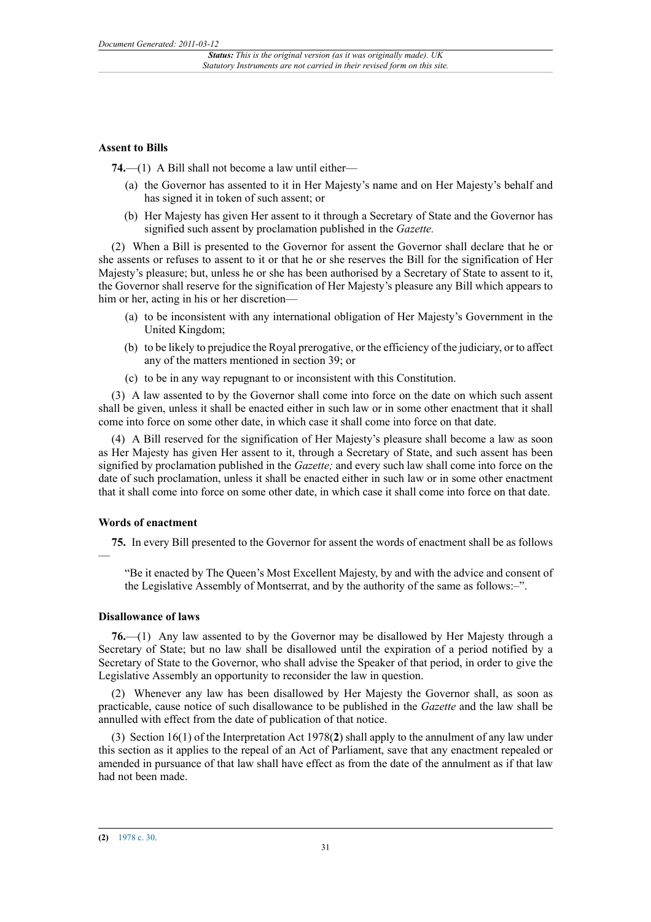# **Assent to Bills**

**74.**—(1) A Bill shall not become a law until either—

- (a) the Governor has assented to it in Her Majesty's name and on Her Majesty's behalf and has signed it in token of such assent; or
- (b) Her Majesty has given Her assent to it through a Secretary of State and the Governor has signified such assent by proclamation published in the *Gazette.*

(2) When a Bill is presented to the Governor for assent the Governor shall declare that he or she assents or refuses to assent to it or that he or she reserves the Bill for the signification of Her Majesty's pleasure; but, unless he or she has been authorised by a Secretary of State to assent to it, the Governor shall reserve for the signification of Her Majesty's pleasure any Bill which appears to him or her, acting in his or her discretion—

- (a) to be inconsistent with any international obligation of Her Majesty's Government in the United Kingdom;
- (b) to be likely to prejudice the Royal prerogative, or the efficiency of the judiciary, or to affect any of the matters mentioned in section 39; or
- (c) to be in any way repugnant to or inconsistent with this Constitution.

(3) A law assented to by the Governor shall come into force on the date on which such assent shall be given, unless it shall be enacted either in such law or in some other enactment that it shall come into force on some other date, in which case it shall come into force on that date.

(4) A Bill reserved for the signification of Her Majesty's pleasure shall become a law as soon as Her Majesty has given Her assent to it, through a Secretary of State, and such assent has been signified by proclamation published in the *Gazette;* and every such law shall come into force on the date of such proclamation, unless it shall be enacted either in such law or in some other enactment that it shall come into force on some other date, in which case it shall come into force on that date.

# **Words of enactment**

—

**75.** In every Bill presented to the Governor for assent the words of enactment shall be as follows

"Be it enacted by The Queen's Most Excellent Majesty, by and with the advice and consent of the Legislative Assembly of Montserrat, and by the authority of the same as follows:–".

# **Disallowance of laws**

**76.**—(1) Any law assented to by the Governor may be disallowed by Her Majesty through a Secretary of State; but no law shall be disallowed until the expiration of a period notified by a Secretary of State to the Governor, who shall advise the Speaker of that period, in order to give the Legislative Assembly an opportunity to reconsider the law in question.

(2) Whenever any law has been disallowed by Her Majesty the Governor shall, as soon as practicable, cause notice of such disallowance to be published in the *Gazette* and the law shall be annulled with effect from the date of publication of that notice.

(3) Section 16(1) of the Interpretation Act 1978(**2**) shall apply to the annulment of any law under this section as it applies to the repeal of an Act of Parliament, save that any enactment repealed or amended in pursuance of that law shall have effect as from the date of the annulment as if that law had not been made.

**<sup>(2)</sup>** [1978 c. 30.](http://www.legislation.gov.uk/id/ukpga/1978/30)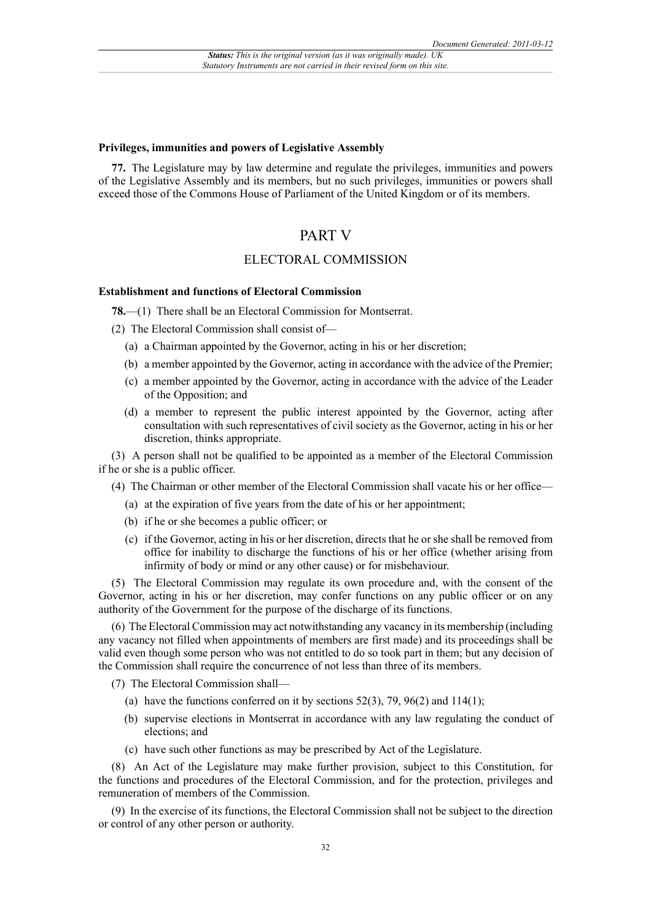#### **Privileges, immunities and powers of Legislative Assembly**

**77.** The Legislature may by law determine and regulate the privileges, immunities and powers of the Legislative Assembly and its members, but no such privileges, immunities or powers shall exceed those of the Commons House of Parliament of the United Kingdom or of its members.

# PART V

# ELECTORAL COMMISSION

#### **Establishment and functions of Electoral Commission**

**78.**—(1) There shall be an Electoral Commission for Montserrat.

(2) The Electoral Commission shall consist of—

- (a) a Chairman appointed by the Governor, acting in his or her discretion;
- (b) a member appointed by the Governor, acting in accordance with the advice of the Premier;
- (c) a member appointed by the Governor, acting in accordance with the advice of the Leader of the Opposition; and
- (d) a member to represent the public interest appointed by the Governor, acting after consultation with such representatives of civil society as the Governor, acting in his or her discretion, thinks appropriate.

(3) A person shall not be qualified to be appointed as a member of the Electoral Commission if he or she is a public officer.

- (4) The Chairman or other member of the Electoral Commission shall vacate his or her office—
	- (a) at the expiration of five years from the date of his or her appointment;
	- (b) if he or she becomes a public officer; or
	- (c) if the Governor, acting in his or her discretion, directs that he or she shall be removed from office for inability to discharge the functions of his or her office (whether arising from infirmity of body or mind or any other cause) or for misbehaviour.

(5) The Electoral Commission may regulate its own procedure and, with the consent of the Governor, acting in his or her discretion, may confer functions on any public officer or on any authority of the Government for the purpose of the discharge of its functions.

(6) The Electoral Commission may act notwithstanding any vacancy in its membership (including any vacancy not filled when appointments of members are first made) and its proceedings shall be valid even though some person who was not entitled to do so took part in them; but any decision of the Commission shall require the concurrence of not less than three of its members.

(7) The Electoral Commission shall—

- (a) have the functions conferred on it by sections  $52(3)$ ,  $79$ ,  $96(2)$  and  $114(1)$ ;
- (b) supervise elections in Montserrat in accordance with any law regulating the conduct of elections; and
- (c) have such other functions as may be prescribed by Act of the Legislature.

(8) An Act of the Legislature may make further provision, subject to this Constitution, for the functions and procedures of the Electoral Commission, and for the protection, privileges and remuneration of members of the Commission.

(9) In the exercise of its functions, the Electoral Commission shall not be subject to the direction or control of any other person or authority.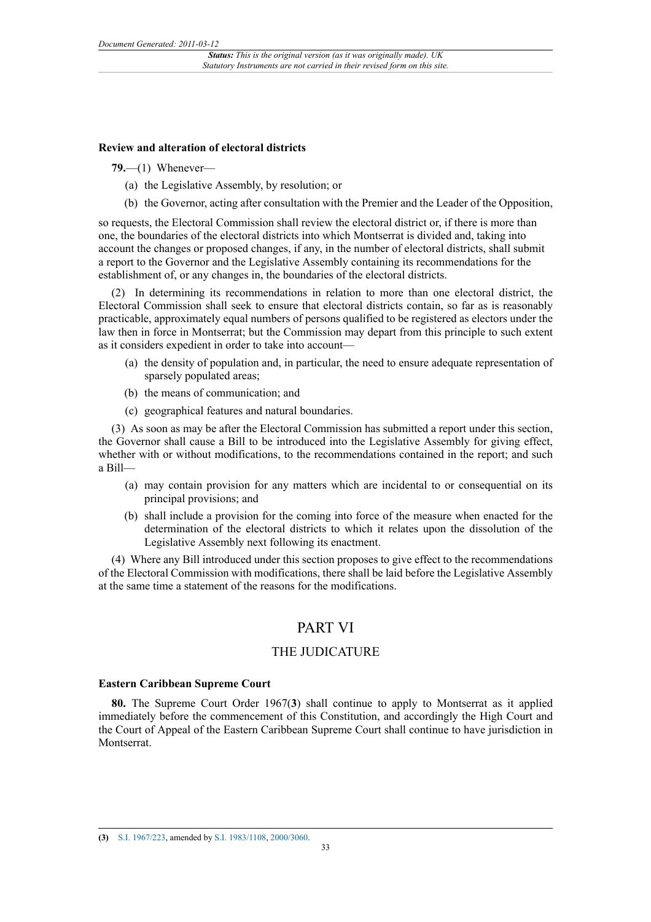# **Review and alteration of electoral districts**

**79.**—(1) Whenever—

- (a) the Legislative Assembly, by resolution; or
- (b) the Governor, acting after consultation with the Premier and the Leader of the Opposition,

so requests, the Electoral Commission shall review the electoral district or, if there is more than one, the boundaries of the electoral districts into which Montserrat is divided and, taking into account the changes or proposed changes, if any, in the number of electoral districts, shall submit a report to the Governor and the Legislative Assembly containing its recommendations for the establishment of, or any changes in, the boundaries of the electoral districts.

(2) In determining its recommendations in relation to more than one electoral district, the Electoral Commission shall seek to ensure that electoral districts contain, so far as is reasonably practicable, approximately equal numbers of persons qualified to be registered as electors under the law then in force in Montserrat; but the Commission may depart from this principle to such extent as it considers expedient in order to take into account—

- (a) the density of population and, in particular, the need to ensure adequate representation of sparsely populated areas;
- (b) the means of communication; and
- (c) geographical features and natural boundaries.

(3) As soon as may be after the Electoral Commission has submitted a report under this section, the Governor shall cause a Bill to be introduced into the Legislative Assembly for giving effect, whether with or without modifications, to the recommendations contained in the report; and such a Bill—

- (a) may contain provision for any matters which are incidental to or consequential on its principal provisions; and
- (b) shall include a provision for the coming into force of the measure when enacted for the determination of the electoral districts to which it relates upon the dissolution of the Legislative Assembly next following its enactment.

(4) Where any Bill introduced under this section proposes to give effect to the recommendations of the Electoral Commission with modifications, there shall be laid before the Legislative Assembly at the same time a statement of the reasons for the modifications.

# PART VI

# THE JUDICATURE

# **Eastern Caribbean Supreme Court**

**80.** The Supreme Court Order 1967(**3**) shall continue to apply to Montserrat as it applied immediately before the commencement of this Constitution, and accordingly the High Court and the Court of Appeal of the Eastern Caribbean Supreme Court shall continue to have jurisdiction in **Montserrat** 

# **(3)** [S.I. 1967/223](http://www.legislation.gov.uk/id/uksi/1967/223), amended by [S.I. 1983/1108](http://www.legislation.gov.uk/id/uksi/1983/1108), [2000/3060](http://www.legislation.gov.uk/id/uksi/2000/3060).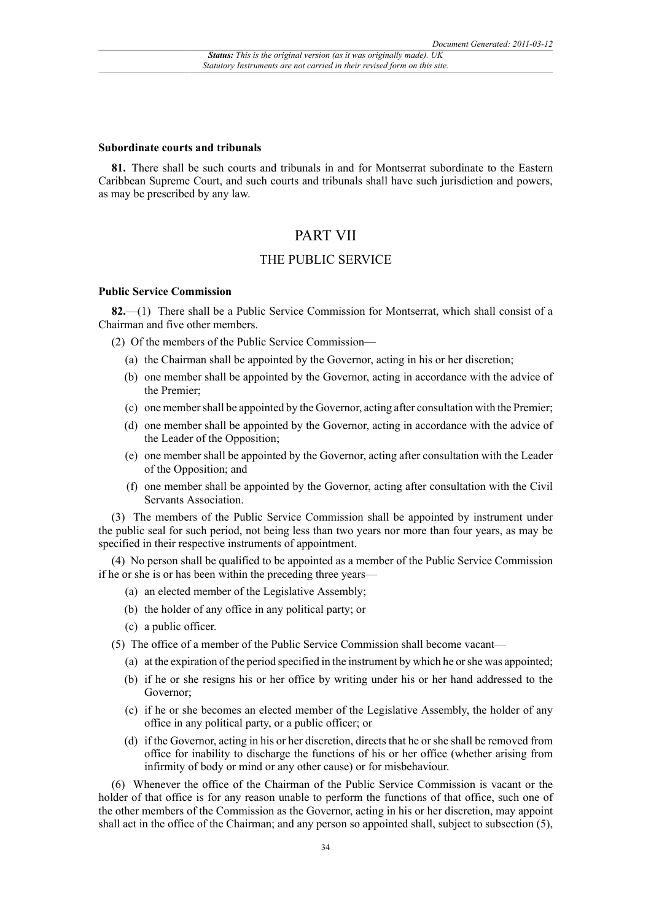#### **Subordinate courts and tribunals**

**81.** There shall be such courts and tribunals in and for Montserrat subordinate to the Eastern Caribbean Supreme Court, and such courts and tribunals shall have such jurisdiction and powers, as may be prescribed by any law.

# PART VII

# THE PUBLIC SERVICE

#### **Public Service Commission**

**82.**—(1) There shall be a Public Service Commission for Montserrat, which shall consist of a Chairman and five other members.

(2) Of the members of the Public Service Commission—

- (a) the Chairman shall be appointed by the Governor, acting in his or her discretion;
- (b) one member shall be appointed by the Governor, acting in accordance with the advice of the Premier;
- (c) one member shall be appointed by the Governor, acting after consultation with the Premier;
- (d) one member shall be appointed by the Governor, acting in accordance with the advice of the Leader of the Opposition;
- (e) one member shall be appointed by the Governor, acting after consultation with the Leader of the Opposition; and
- (f) one member shall be appointed by the Governor, acting after consultation with the Civil Servants Association.

(3) The members of the Public Service Commission shall be appointed by instrument under the public seal for such period, not being less than two years nor more than four years, as may be specified in their respective instruments of appointment.

(4) No person shall be qualified to be appointed as a member of the Public Service Commission if he or she is or has been within the preceding three years—

- (a) an elected member of the Legislative Assembly;
- (b) the holder of any office in any political party; or
- (c) a public officer.
- (5) The office of a member of the Public Service Commission shall become vacant—
	- (a) at the expiration of the period specified in the instrument by which he or she was appointed;
	- (b) if he or she resigns his or her office by writing under his or her hand addressed to the Governor;
	- (c) if he or she becomes an elected member of the Legislative Assembly, the holder of any office in any political party, or a public officer; or
	- (d) if the Governor, acting in his or her discretion, directs that he or she shall be removed from office for inability to discharge the functions of his or her office (whether arising from infirmity of body or mind or any other cause) or for misbehaviour.

(6) Whenever the office of the Chairman of the Public Service Commission is vacant or the holder of that office is for any reason unable to perform the functions of that office, such one of the other members of the Commission as the Governor, acting in his or her discretion, may appoint shall act in the office of the Chairman; and any person so appointed shall, subject to subsection (5),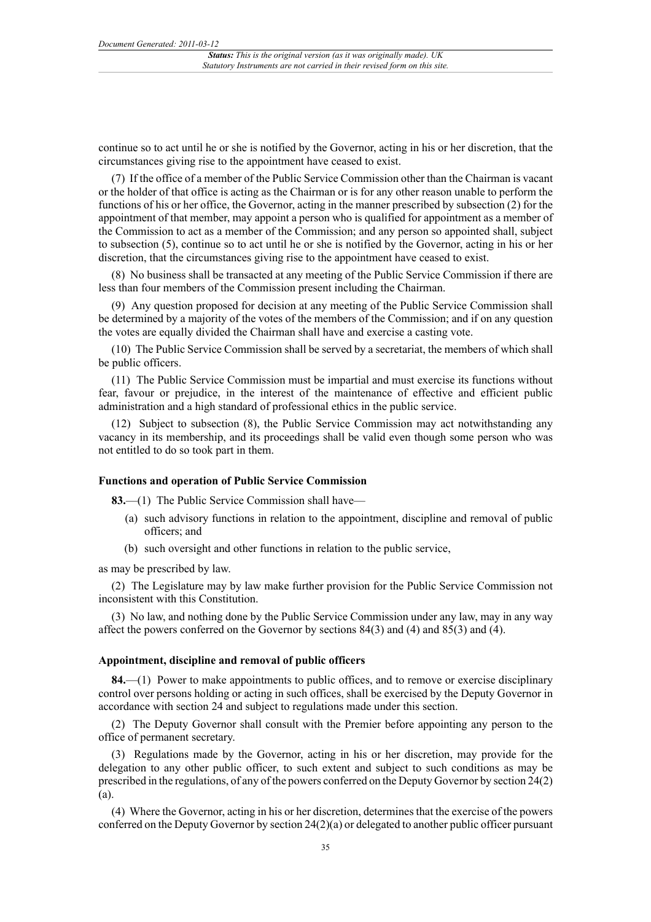continue so to act until he or she is notified by the Governor, acting in his or her discretion, that the circumstances giving rise to the appointment have ceased to exist.

(7) If the office of a member of the Public Service Commission other than the Chairman is vacant or the holder of that office is acting as the Chairman or is for any other reason unable to perform the functions of his or her office, the Governor, acting in the manner prescribed by subsection (2) for the appointment of that member, may appoint a person who is qualified for appointment as a member of the Commission to act as a member of the Commission; and any person so appointed shall, subject to subsection (5), continue so to act until he or she is notified by the Governor, acting in his or her discretion, that the circumstances giving rise to the appointment have ceased to exist.

(8) No business shall be transacted at any meeting of the Public Service Commission if there are less than four members of the Commission present including the Chairman.

(9) Any question proposed for decision at any meeting of the Public Service Commission shall be determined by a majority of the votes of the members of the Commission; and if on any question the votes are equally divided the Chairman shall have and exercise a casting vote.

(10) The Public Service Commission shall be served by a secretariat, the members of which shall be public officers.

(11) The Public Service Commission must be impartial and must exercise its functions without fear, favour or prejudice, in the interest of the maintenance of effective and efficient public administration and a high standard of professional ethics in the public service.

(12) Subject to subsection (8), the Public Service Commission may act notwithstanding any vacancy in its membership, and its proceedings shall be valid even though some person who was not entitled to do so took part in them.

# **Functions and operation of Public Service Commission**

**83.**—(1) The Public Service Commission shall have—

- (a) such advisory functions in relation to the appointment, discipline and removal of public officers; and
- (b) such oversight and other functions in relation to the public service,

as may be prescribed by law.

(2) The Legislature may by law make further provision for the Public Service Commission not inconsistent with this Constitution.

(3) No law, and nothing done by the Public Service Commission under any law, may in any way affect the powers conferred on the Governor by sections 84(3) and (4) and 85(3) and (4).

#### **Appointment, discipline and removal of public officers**

**84.**—(1) Power to make appointments to public offices, and to remove or exercise disciplinary control over persons holding or acting in such offices, shall be exercised by the Deputy Governor in accordance with section 24 and subject to regulations made under this section.

(2) The Deputy Governor shall consult with the Premier before appointing any person to the office of permanent secretary.

(3) Regulations made by the Governor, acting in his or her discretion, may provide for the delegation to any other public officer, to such extent and subject to such conditions as may be prescribed in the regulations, of any of the powers conferred on the Deputy Governor by section 24(2) (a).

(4) Where the Governor, acting in his or her discretion, determines that the exercise of the powers conferred on the Deputy Governor by section 24(2)(a) or delegated to another public officer pursuant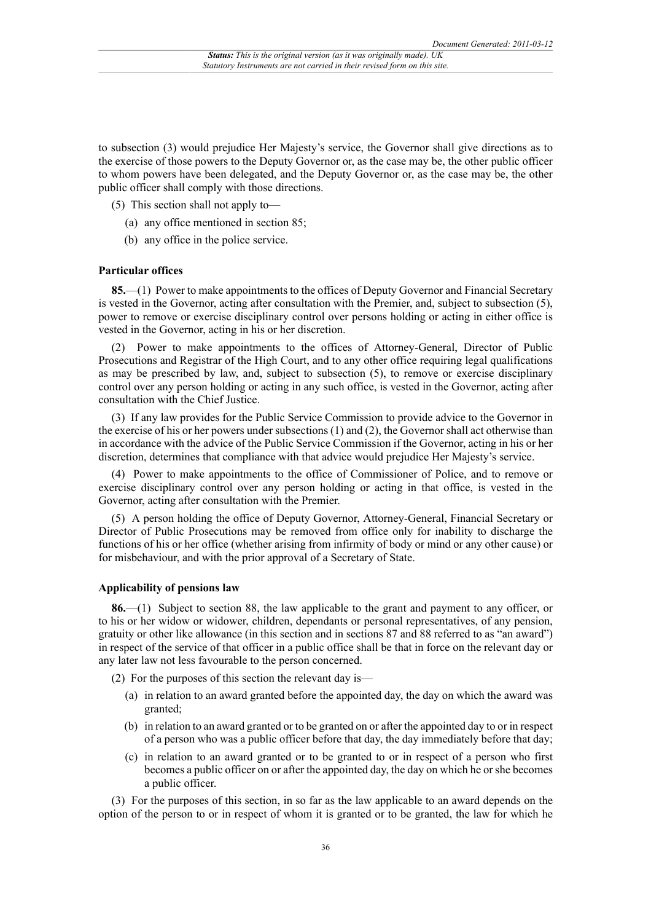to subsection (3) would prejudice Her Majesty's service, the Governor shall give directions as to the exercise of those powers to the Deputy Governor or, as the case may be, the other public officer to whom powers have been delegated, and the Deputy Governor or, as the case may be, the other public officer shall comply with those directions.

- (5) This section shall not apply to—
	- (a) any office mentioned in section 85;
	- (b) any office in the police service.

# **Particular offices**

**85.**—(1) Power to make appointments to the offices of Deputy Governor and Financial Secretary is vested in the Governor, acting after consultation with the Premier, and, subject to subsection (5), power to remove or exercise disciplinary control over persons holding or acting in either office is vested in the Governor, acting in his or her discretion.

(2) Power to make appointments to the offices of Attorney-General, Director of Public Prosecutions and Registrar of the High Court, and to any other office requiring legal qualifications as may be prescribed by law, and, subject to subsection (5), to remove or exercise disciplinary control over any person holding or acting in any such office, is vested in the Governor, acting after consultation with the Chief Justice.

(3) If any law provides for the Public Service Commission to provide advice to the Governor in the exercise of his or her powers under subsections (1) and (2), the Governor shall act otherwise than in accordance with the advice of the Public Service Commission if the Governor, acting in his or her discretion, determines that compliance with that advice would prejudice Her Majesty's service.

(4) Power to make appointments to the office of Commissioner of Police, and to remove or exercise disciplinary control over any person holding or acting in that office, is vested in the Governor, acting after consultation with the Premier.

(5) A person holding the office of Deputy Governor, Attorney-General, Financial Secretary or Director of Public Prosecutions may be removed from office only for inability to discharge the functions of his or her office (whether arising from infirmity of body or mind or any other cause) or for misbehaviour, and with the prior approval of a Secretary of State.

#### **Applicability of pensions law**

**86.**—(1) Subject to section 88, the law applicable to the grant and payment to any officer, or to his or her widow or widower, children, dependants or personal representatives, of any pension, gratuity or other like allowance (in this section and in sections 87 and 88 referred to as "an award") in respect of the service of that officer in a public office shall be that in force on the relevant day or any later law not less favourable to the person concerned.

(2) For the purposes of this section the relevant day is—

- (a) in relation to an award granted before the appointed day, the day on which the award was granted;
- (b) in relation to an award granted or to be granted on or after the appointed day to or in respect of a person who was a public officer before that day, the day immediately before that day;
- (c) in relation to an award granted or to be granted to or in respect of a person who first becomes a public officer on or after the appointed day, the day on which he or she becomes a public officer.

(3) For the purposes of this section, in so far as the law applicable to an award depends on the option of the person to or in respect of whom it is granted or to be granted, the law for which he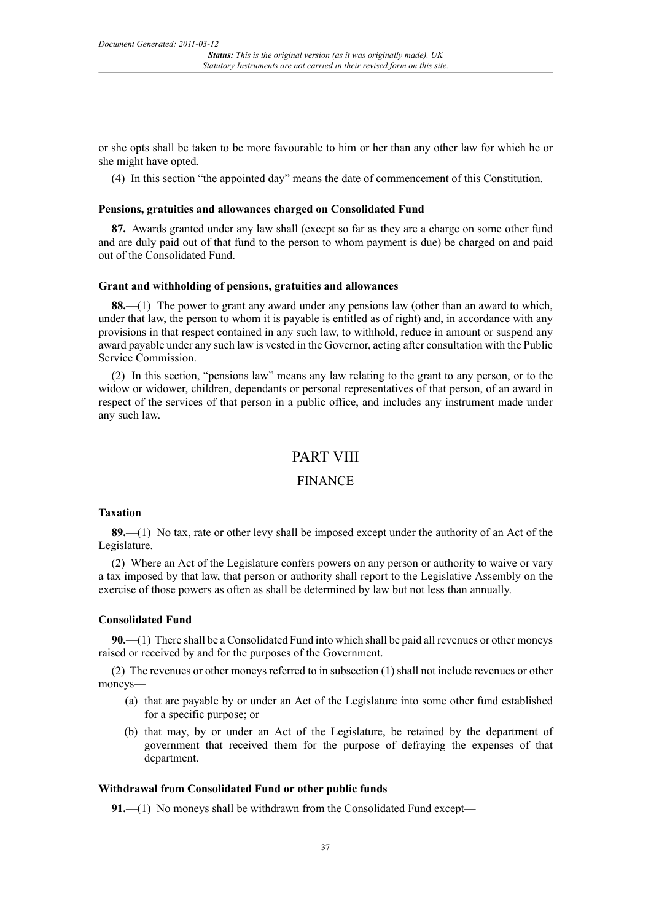or she opts shall be taken to be more favourable to him or her than any other law for which he or she might have opted.

(4) In this section "the appointed day" means the date of commencement of this Constitution.

### **Pensions, gratuities and allowances charged on Consolidated Fund**

**87.** Awards granted under any law shall (except so far as they are a charge on some other fund and are duly paid out of that fund to the person to whom payment is due) be charged on and paid out of the Consolidated Fund.

#### **Grant and withholding of pensions, gratuities and allowances**

**88.**—(1) The power to grant any award under any pensions law (other than an award to which, under that law, the person to whom it is payable is entitled as of right) and, in accordance with any provisions in that respect contained in any such law, to withhold, reduce in amount or suspend any award payable under any such law is vested in the Governor, acting after consultation with the Public Service Commission.

(2) In this section, "pensions law" means any law relating to the grant to any person, or to the widow or widower, children, dependants or personal representatives of that person, of an award in respect of the services of that person in a public office, and includes any instrument made under any such law.

# PART VIII

# FINANCE

#### **Taxation**

**89.**—(1) No tax, rate or other levy shall be imposed except under the authority of an Act of the Legislature.

(2) Where an Act of the Legislature confers powers on any person or authority to waive or vary a tax imposed by that law, that person or authority shall report to the Legislative Assembly on the exercise of those powers as often as shall be determined by law but not less than annually.

# **Consolidated Fund**

**90.**—(1) There shall be a Consolidated Fund into which shall be paid all revenues or other moneys raised or received by and for the purposes of the Government.

(2) The revenues or other moneys referred to in subsection (1) shall not include revenues or other moneys—

- (a) that are payable by or under an Act of the Legislature into some other fund established for a specific purpose; or
- (b) that may, by or under an Act of the Legislature, be retained by the department of government that received them for the purpose of defraying the expenses of that department.

# **Withdrawal from Consolidated Fund or other public funds**

**91.**—(1) No moneys shall be withdrawn from the Consolidated Fund except—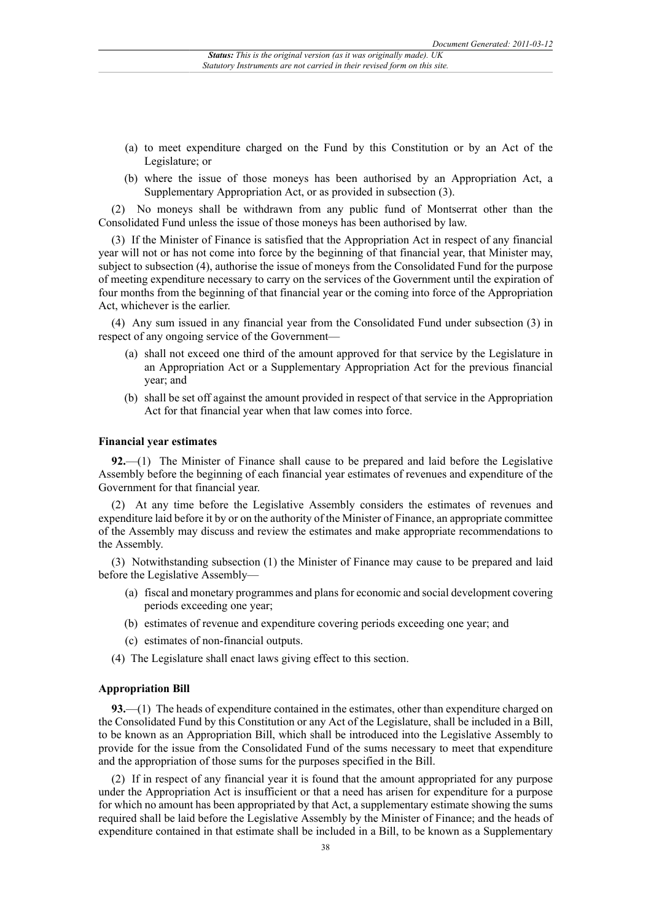- (a) to meet expenditure charged on the Fund by this Constitution or by an Act of the Legislature; or
- (b) where the issue of those moneys has been authorised by an Appropriation Act, a Supplementary Appropriation Act, or as provided in subsection (3).

(2) No moneys shall be withdrawn from any public fund of Montserrat other than the Consolidated Fund unless the issue of those moneys has been authorised by law.

(3) If the Minister of Finance is satisfied that the Appropriation Act in respect of any financial year will not or has not come into force by the beginning of that financial year, that Minister may, subject to subsection (4), authorise the issue of moneys from the Consolidated Fund for the purpose of meeting expenditure necessary to carry on the services of the Government until the expiration of four months from the beginning of that financial year or the coming into force of the Appropriation Act, whichever is the earlier.

(4) Any sum issued in any financial year from the Consolidated Fund under subsection (3) in respect of any ongoing service of the Government—

- (a) shall not exceed one third of the amount approved for that service by the Legislature in an Appropriation Act or a Supplementary Appropriation Act for the previous financial year; and
- (b) shall be set off against the amount provided in respect of that service in the Appropriation Act for that financial year when that law comes into force.

#### **Financial year estimates**

**92.**—(1) The Minister of Finance shall cause to be prepared and laid before the Legislative Assembly before the beginning of each financial year estimates of revenues and expenditure of the Government for that financial year.

(2) At any time before the Legislative Assembly considers the estimates of revenues and expenditure laid before it by or on the authority of the Minister of Finance, an appropriate committee of the Assembly may discuss and review the estimates and make appropriate recommendations to the Assembly.

(3) Notwithstanding subsection (1) the Minister of Finance may cause to be prepared and laid before the Legislative Assembly—

- (a) fiscal and monetary programmes and plans for economic and social development covering periods exceeding one year;
- (b) estimates of revenue and expenditure covering periods exceeding one year; and
- (c) estimates of non-financial outputs.
- (4) The Legislature shall enact laws giving effect to this section.

# **Appropriation Bill**

**93.**—(1) The heads of expenditure contained in the estimates, other than expenditure charged on the Consolidated Fund by this Constitution or any Act of the Legislature, shall be included in a Bill, to be known as an Appropriation Bill, which shall be introduced into the Legislative Assembly to provide for the issue from the Consolidated Fund of the sums necessary to meet that expenditure and the appropriation of those sums for the purposes specified in the Bill.

(2) If in respect of any financial year it is found that the amount appropriated for any purpose under the Appropriation Act is insufficient or that a need has arisen for expenditure for a purpose for which no amount has been appropriated by that Act, a supplementary estimate showing the sums required shall be laid before the Legislative Assembly by the Minister of Finance; and the heads of expenditure contained in that estimate shall be included in a Bill, to be known as a Supplementary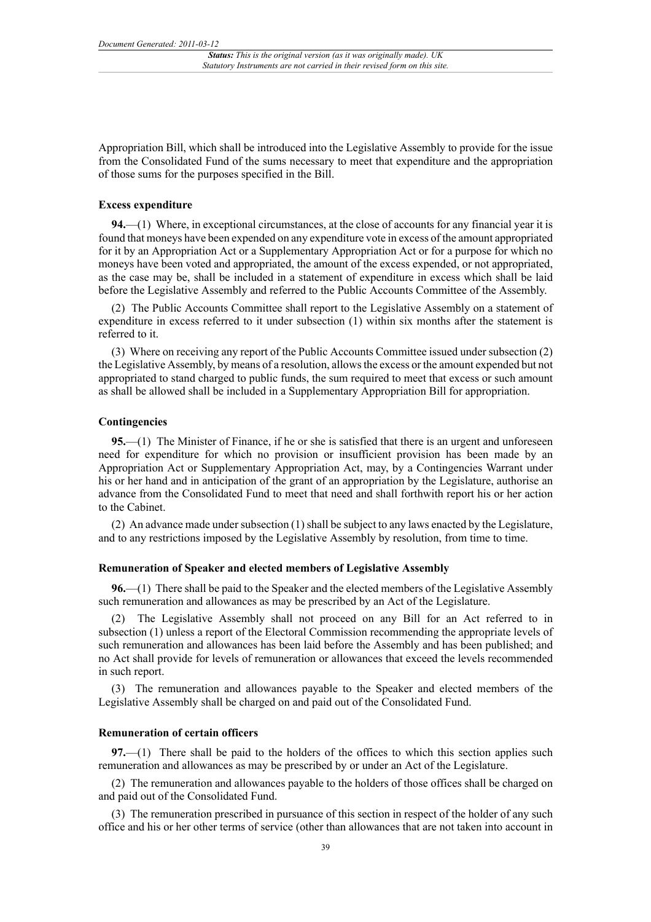Appropriation Bill, which shall be introduced into the Legislative Assembly to provide for the issue from the Consolidated Fund of the sums necessary to meet that expenditure and the appropriation of those sums for the purposes specified in the Bill.

#### **Excess expenditure**

**94.**—(1) Where, in exceptional circumstances, at the close of accounts for any financial year it is found that moneys have been expended on any expenditure vote in excess of the amount appropriated for it by an Appropriation Act or a Supplementary Appropriation Act or for a purpose for which no moneys have been voted and appropriated, the amount of the excess expended, or not appropriated, as the case may be, shall be included in a statement of expenditure in excess which shall be laid before the Legislative Assembly and referred to the Public Accounts Committee of the Assembly.

(2) The Public Accounts Committee shall report to the Legislative Assembly on a statement of expenditure in excess referred to it under subsection (1) within six months after the statement is referred to it.

(3) Where on receiving any report of the Public Accounts Committee issued under subsection (2) the Legislative Assembly, by means of a resolution, allows the excess or the amount expended but not appropriated to stand charged to public funds, the sum required to meet that excess or such amount as shall be allowed shall be included in a Supplementary Appropriation Bill for appropriation.

#### **Contingencies**

**95.**—(1) The Minister of Finance, if he or she is satisfied that there is an urgent and unforeseen need for expenditure for which no provision or insufficient provision has been made by an Appropriation Act or Supplementary Appropriation Act, may, by a Contingencies Warrant under his or her hand and in anticipation of the grant of an appropriation by the Legislature, authorise an advance from the Consolidated Fund to meet that need and shall forthwith report his or her action to the Cabinet.

(2) An advance made under subsection (1) shall be subject to any laws enacted by the Legislature, and to any restrictions imposed by the Legislative Assembly by resolution, from time to time.

# **Remuneration of Speaker and elected members of Legislative Assembly**

**96.**—(1) There shall be paid to the Speaker and the elected members of the Legislative Assembly such remuneration and allowances as may be prescribed by an Act of the Legislature.

(2) The Legislative Assembly shall not proceed on any Bill for an Act referred to in subsection (1) unless a report of the Electoral Commission recommending the appropriate levels of such remuneration and allowances has been laid before the Assembly and has been published; and no Act shall provide for levels of remuneration or allowances that exceed the levels recommended in such report.

(3) The remuneration and allowances payable to the Speaker and elected members of the Legislative Assembly shall be charged on and paid out of the Consolidated Fund.

# **Remuneration of certain officers**

**97.**—(1) There shall be paid to the holders of the offices to which this section applies such remuneration and allowances as may be prescribed by or under an Act of the Legislature.

(2) The remuneration and allowances payable to the holders of those offices shall be charged on and paid out of the Consolidated Fund.

(3) The remuneration prescribed in pursuance of this section in respect of the holder of any such office and his or her other terms of service (other than allowances that are not taken into account in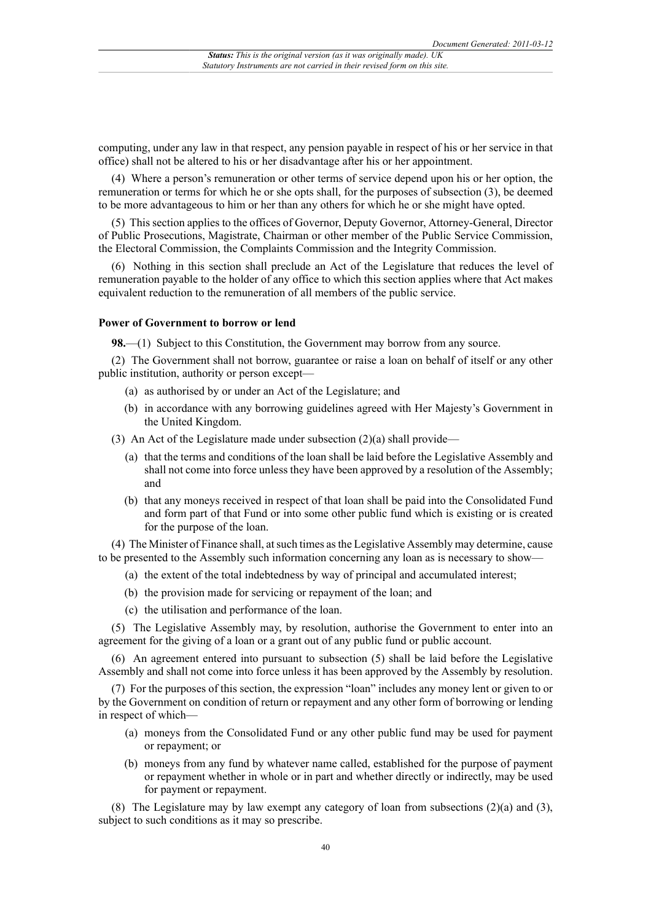computing, under any law in that respect, any pension payable in respect of his or her service in that office) shall not be altered to his or her disadvantage after his or her appointment.

(4) Where a person's remuneration or other terms of service depend upon his or her option, the remuneration or terms for which he or she opts shall, for the purposes of subsection (3), be deemed to be more advantageous to him or her than any others for which he or she might have opted.

(5) This section applies to the offices of Governor, Deputy Governor, Attorney-General, Director of Public Prosecutions, Magistrate, Chairman or other member of the Public Service Commission, the Electoral Commission, the Complaints Commission and the Integrity Commission.

(6) Nothing in this section shall preclude an Act of the Legislature that reduces the level of remuneration payable to the holder of any office to which this section applies where that Act makes equivalent reduction to the remuneration of all members of the public service.

# **Power of Government to borrow or lend**

**98.**—(1) Subject to this Constitution, the Government may borrow from any source.

(2) The Government shall not borrow, guarantee or raise a loan on behalf of itself or any other public institution, authority or person except—

- (a) as authorised by or under an Act of the Legislature; and
- (b) in accordance with any borrowing guidelines agreed with Her Majesty's Government in the United Kingdom.
- (3) An Act of the Legislature made under subsection  $(2)(a)$  shall provide—
	- (a) that the terms and conditions of the loan shall be laid before the Legislative Assembly and shall not come into force unless they have been approved by a resolution of the Assembly; and
	- (b) that any moneys received in respect of that loan shall be paid into the Consolidated Fund and form part of that Fund or into some other public fund which is existing or is created for the purpose of the loan.

(4) The Minister of Finance shall, at such times as the Legislative Assembly may determine, cause to be presented to the Assembly such information concerning any loan as is necessary to show—

- (a) the extent of the total indebtedness by way of principal and accumulated interest;
- (b) the provision made for servicing or repayment of the loan; and
- (c) the utilisation and performance of the loan.

(5) The Legislative Assembly may, by resolution, authorise the Government to enter into an agreement for the giving of a loan or a grant out of any public fund or public account.

(6) An agreement entered into pursuant to subsection (5) shall be laid before the Legislative Assembly and shall not come into force unless it has been approved by the Assembly by resolution.

(7) For the purposes of this section, the expression "loan" includes any money lent or given to or by the Government on condition of return or repayment and any other form of borrowing or lending in respect of which—

- (a) moneys from the Consolidated Fund or any other public fund may be used for payment or repayment; or
- (b) moneys from any fund by whatever name called, established for the purpose of payment or repayment whether in whole or in part and whether directly or indirectly, may be used for payment or repayment.

(8) The Legislature may by law exempt any category of loan from subsections (2)(a) and (3), subject to such conditions as it may so prescribe.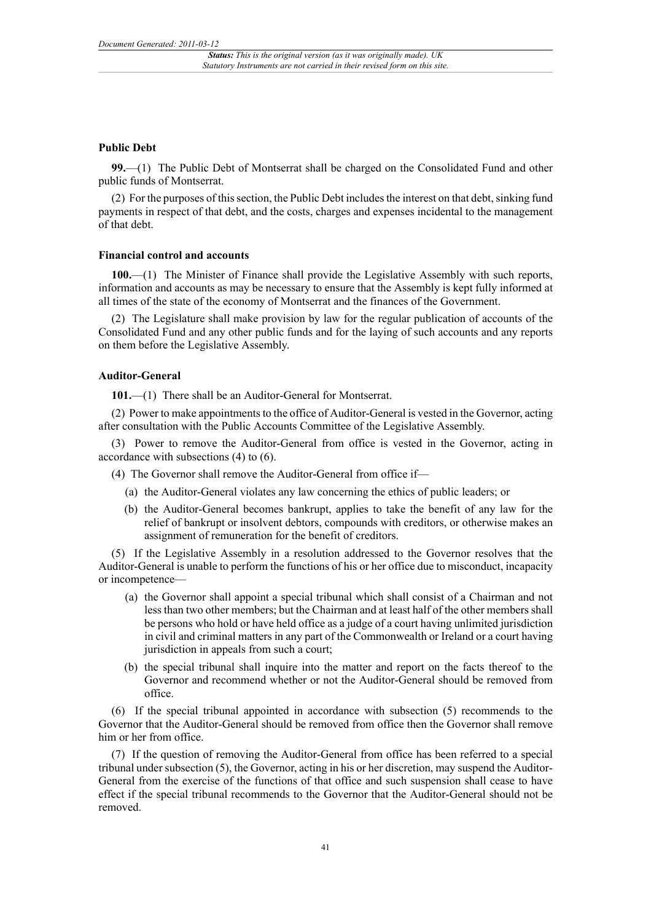### **Public Debt**

**99.**—(1) The Public Debt of Montserrat shall be charged on the Consolidated Fund and other public funds of Montserrat.

(2) For the purposes of this section, the Public Debt includes the interest on that debt, sinking fund payments in respect of that debt, and the costs, charges and expenses incidental to the management of that debt.

#### **Financial control and accounts**

**100.**—(1) The Minister of Finance shall provide the Legislative Assembly with such reports, information and accounts as may be necessary to ensure that the Assembly is kept fully informed at all times of the state of the economy of Montserrat and the finances of the Government.

(2) The Legislature shall make provision by law for the regular publication of accounts of the Consolidated Fund and any other public funds and for the laying of such accounts and any reports on them before the Legislative Assembly.

#### **Auditor-General**

**101.**—(1) There shall be an Auditor-General for Montserrat.

(2) Power to make appointments to the office of Auditor-General is vested in the Governor, acting after consultation with the Public Accounts Committee of the Legislative Assembly.

(3) Power to remove the Auditor-General from office is vested in the Governor, acting in accordance with subsections (4) to (6).

- (4) The Governor shall remove the Auditor-General from office if—
	- (a) the Auditor-General violates any law concerning the ethics of public leaders; or
	- (b) the Auditor-General becomes bankrupt, applies to take the benefit of any law for the relief of bankrupt or insolvent debtors, compounds with creditors, or otherwise makes an assignment of remuneration for the benefit of creditors.

(5) If the Legislative Assembly in a resolution addressed to the Governor resolves that the Auditor-General is unable to perform the functions of his or her office due to misconduct, incapacity or incompetence—

- (a) the Governor shall appoint a special tribunal which shall consist of a Chairman and not less than two other members; but the Chairman and at least half of the other members shall be persons who hold or have held office as a judge of a court having unlimited jurisdiction in civil and criminal matters in any part of the Commonwealth or Ireland or a court having jurisdiction in appeals from such a court;
- (b) the special tribunal shall inquire into the matter and report on the facts thereof to the Governor and recommend whether or not the Auditor-General should be removed from office.

(6) If the special tribunal appointed in accordance with subsection (5) recommends to the Governor that the Auditor-General should be removed from office then the Governor shall remove him or her from office.

(7) If the question of removing the Auditor-General from office has been referred to a special tribunal under subsection (5), the Governor, acting in his or her discretion, may suspend the Auditor-General from the exercise of the functions of that office and such suspension shall cease to have effect if the special tribunal recommends to the Governor that the Auditor-General should not be removed.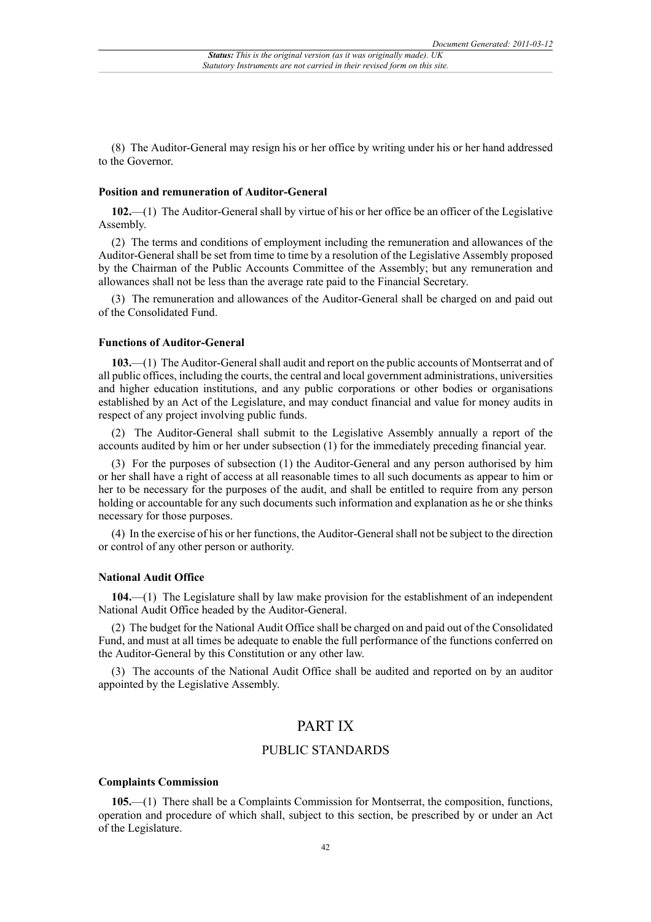(8) The Auditor-General may resign his or her office by writing under his or her hand addressed to the Governor.

### **Position and remuneration of Auditor-General**

**102.**—(1) The Auditor-General shall by virtue of his or her office be an officer of the Legislative Assembly.

(2) The terms and conditions of employment including the remuneration and allowances of the Auditor-General shall be set from time to time by a resolution of the Legislative Assembly proposed by the Chairman of the Public Accounts Committee of the Assembly; but any remuneration and allowances shall not be less than the average rate paid to the Financial Secretary.

(3) The remuneration and allowances of the Auditor-General shall be charged on and paid out of the Consolidated Fund.

# **Functions of Auditor-General**

**103.**—(1) The Auditor-General shall audit and report on the public accounts of Montserrat and of all public offices, including the courts, the central and local government administrations, universities and higher education institutions, and any public corporations or other bodies or organisations established by an Act of the Legislature, and may conduct financial and value for money audits in respect of any project involving public funds.

(2) The Auditor-General shall submit to the Legislative Assembly annually a report of the accounts audited by him or her under subsection (1) for the immediately preceding financial year.

(3) For the purposes of subsection (1) the Auditor-General and any person authorised by him or her shall have a right of access at all reasonable times to all such documents as appear to him or her to be necessary for the purposes of the audit, and shall be entitled to require from any person holding or accountable for any such documents such information and explanation as he or she thinks necessary for those purposes.

(4) In the exercise of his or her functions, the Auditor-General shall not be subject to the direction or control of any other person or authority.

#### **National Audit Office**

**104.**—(1) The Legislature shall by law make provision for the establishment of an independent National Audit Office headed by the Auditor-General.

(2) The budget for the National Audit Office shall be charged on and paid out of the Consolidated Fund, and must at all times be adequate to enable the full performance of the functions conferred on the Auditor-General by this Constitution or any other law.

(3) The accounts of the National Audit Office shall be audited and reported on by an auditor appointed by the Legislative Assembly.

# PART IX

# PUBLIC STANDARDS

#### **Complaints Commission**

**105.**—(1) There shall be a Complaints Commission for Montserrat, the composition, functions, operation and procedure of which shall, subject to this section, be prescribed by or under an Act of the Legislature.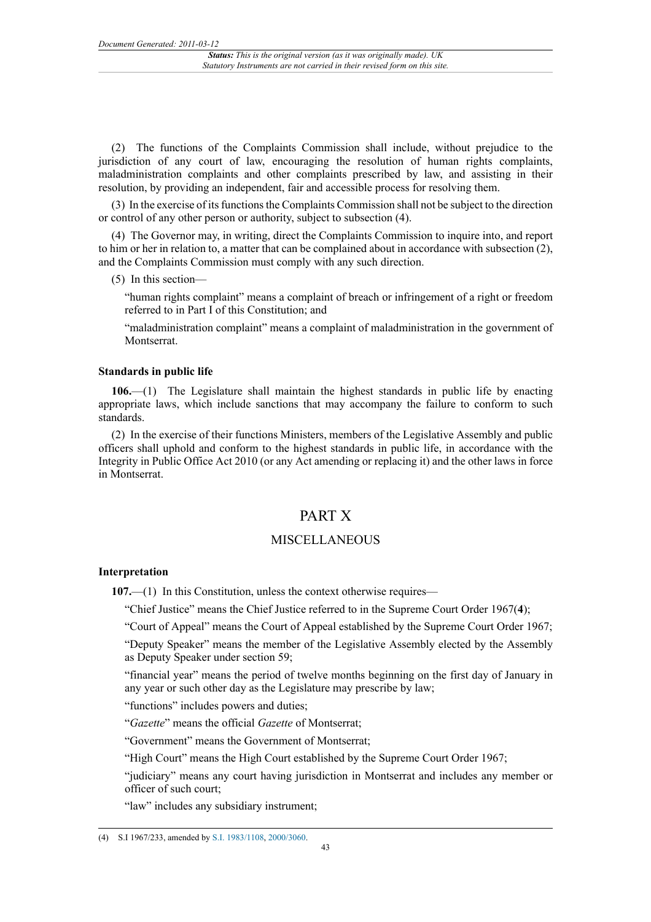(2) The functions of the Complaints Commission shall include, without prejudice to the jurisdiction of any court of law, encouraging the resolution of human rights complaints, maladministration complaints and other complaints prescribed by law, and assisting in their resolution, by providing an independent, fair and accessible process for resolving them.

(3) In the exercise of its functions the Complaints Commission shall not be subject to the direction or control of any other person or authority, subject to subsection (4).

(4) The Governor may, in writing, direct the Complaints Commission to inquire into, and report to him or her in relation to, a matter that can be complained about in accordance with subsection (2), and the Complaints Commission must comply with any such direction.

(5) In this section—

"human rights complaint" means a complaint of breach or infringement of a right or freedom referred to in Part I of this Constitution; and

"maladministration complaint" means a complaint of maladministration in the government of Montserrat.

#### **Standards in public life**

**106.**—(1) The Legislature shall maintain the highest standards in public life by enacting appropriate laws, which include sanctions that may accompany the failure to conform to such standards.

(2) In the exercise of their functions Ministers, members of the Legislative Assembly and public officers shall uphold and conform to the highest standards in public life, in accordance with the Integrity in Public Office Act 2010 (or any Act amending or replacing it) and the other laws in force in Montserrat.

# PART X

# **MISCELLANEOUS**

# **Interpretation**

**107.**—(1) In this Constitution, unless the context otherwise requires—

"Chief Justice" means the Chief Justice referred to in the Supreme Court Order 1967(**4**);

"Court of Appeal" means the Court of Appeal established by the Supreme Court Order 1967;

"Deputy Speaker" means the member of the Legislative Assembly elected by the Assembly as Deputy Speaker under section 59;

"financial year" means the period of twelve months beginning on the first day of January in any year or such other day as the Legislature may prescribe by law;

"functions" includes powers and duties;

"*Gazette*" means the official *Gazette* of Montserrat;

"Government" means the Government of Montserrat;

"High Court" means the High Court established by the Supreme Court Order 1967;

"judiciary" means any court having jurisdiction in Montserrat and includes any member or officer of such court;

"law" includes any subsidiary instrument;

<sup>(4)</sup> S.I 1967/233, amended by [S.I. 1983/1108](http://www.legislation.gov.uk/id/uksi/1983/1108), [2000/3060](http://www.legislation.gov.uk/id/uksi/2000/3060).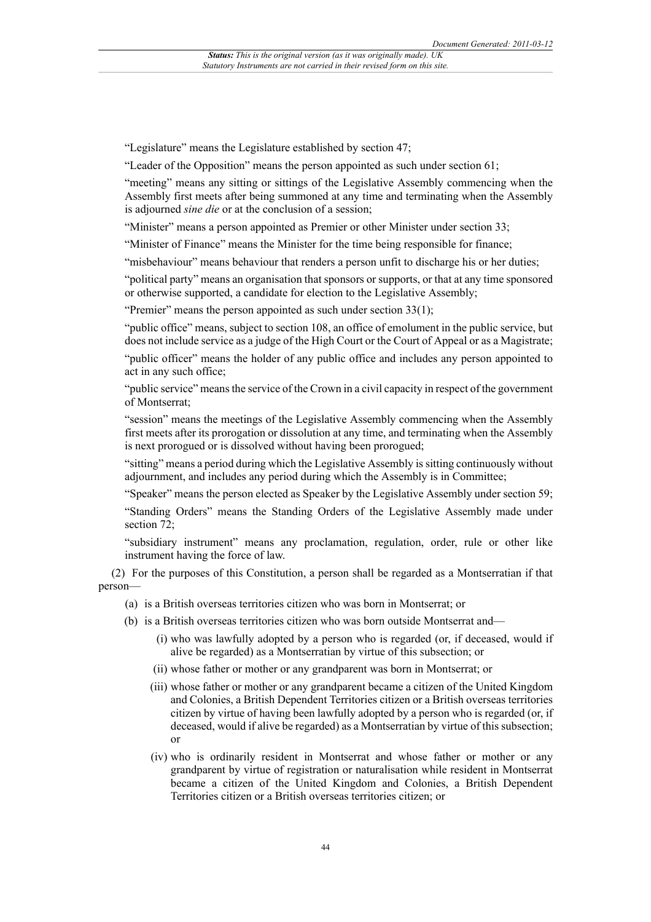"Legislature" means the Legislature established by section 47;

"Leader of the Opposition" means the person appointed as such under section 61;

"meeting" means any sitting or sittings of the Legislative Assembly commencing when the Assembly first meets after being summoned at any time and terminating when the Assembly is adjourned *sine die* or at the conclusion of a session;

"Minister" means a person appointed as Premier or other Minister under section 33;

"Minister of Finance" means the Minister for the time being responsible for finance;

"misbehaviour" means behaviour that renders a person unfit to discharge his or her duties;

"political party" means an organisation that sponsors or supports, or that at any time sponsored or otherwise supported, a candidate for election to the Legislative Assembly;

"Premier" means the person appointed as such under section 33(1);

"public office" means, subject to section 108, an office of emolument in the public service, but does not include service as a judge of the High Court or the Court of Appeal or as a Magistrate;

"public officer" means the holder of any public office and includes any person appointed to act in any such office;

"public service" means the service of the Crown in a civil capacity in respect of the government of Montserrat;

"session" means the meetings of the Legislative Assembly commencing when the Assembly first meets after its prorogation or dissolution at any time, and terminating when the Assembly is next prorogued or is dissolved without having been prorogued;

"sitting" means a period during which the Legislative Assembly is sitting continuously without adjournment, and includes any period during which the Assembly is in Committee;

"Speaker" means the person elected as Speaker by the Legislative Assembly under section 59;

"Standing Orders" means the Standing Orders of the Legislative Assembly made under section 72:

"subsidiary instrument" means any proclamation, regulation, order, rule or other like instrument having the force of law.

(2) For the purposes of this Constitution, a person shall be regarded as a Montserratian if that person—

- (a) is a British overseas territories citizen who was born in Montserrat; or
- (b) is a British overseas territories citizen who was born outside Montserrat and—
	- (i) who was lawfully adopted by a person who is regarded (or, if deceased, would if alive be regarded) as a Montserratian by virtue of this subsection; or
	- (ii) whose father or mother or any grandparent was born in Montserrat; or
	- (iii) whose father or mother or any grandparent became a citizen of the United Kingdom and Colonies, a British Dependent Territories citizen or a British overseas territories citizen by virtue of having been lawfully adopted by a person who is regarded (or, if deceased, would if alive be regarded) as a Montserratian by virtue of this subsection; or
	- (iv) who is ordinarily resident in Montserrat and whose father or mother or any grandparent by virtue of registration or naturalisation while resident in Montserrat became a citizen of the United Kingdom and Colonies, a British Dependent Territories citizen or a British overseas territories citizen; or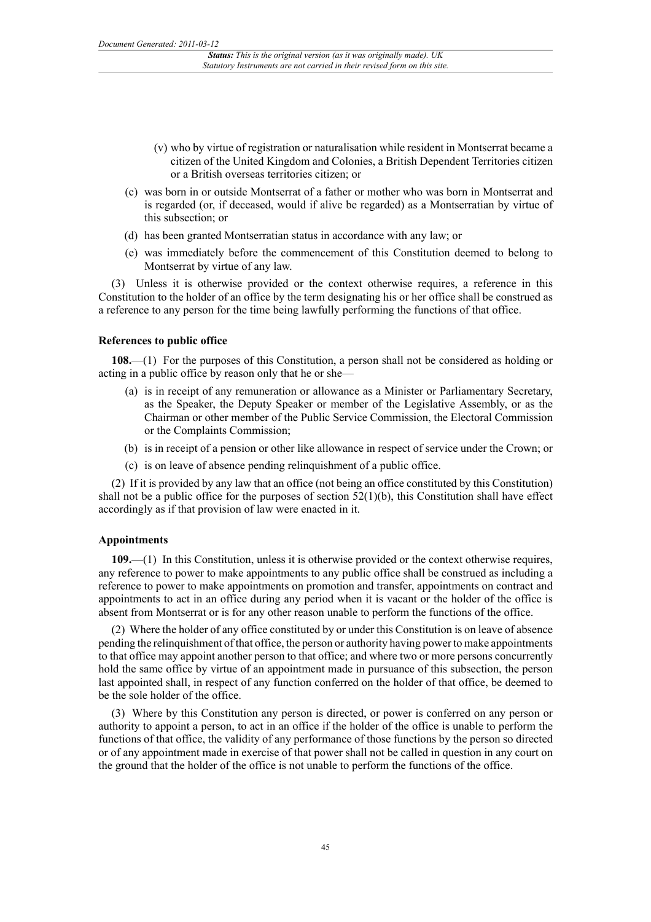- (v) who by virtue of registration or naturalisation while resident in Montserrat became a citizen of the United Kingdom and Colonies, a British Dependent Territories citizen or a British overseas territories citizen; or
- (c) was born in or outside Montserrat of a father or mother who was born in Montserrat and is regarded (or, if deceased, would if alive be regarded) as a Montserratian by virtue of this subsection; or
- (d) has been granted Montserratian status in accordance with any law; or
- (e) was immediately before the commencement of this Constitution deemed to belong to Montserrat by virtue of any law.

(3) Unless it is otherwise provided or the context otherwise requires, a reference in this Constitution to the holder of an office by the term designating his or her office shall be construed as a reference to any person for the time being lawfully performing the functions of that office.

# **References to public office**

**108.**—(1) For the purposes of this Constitution, a person shall not be considered as holding or acting in a public office by reason only that he or she—

- (a) is in receipt of any remuneration or allowance as a Minister or Parliamentary Secretary, as the Speaker, the Deputy Speaker or member of the Legislative Assembly, or as the Chairman or other member of the Public Service Commission, the Electoral Commission or the Complaints Commission;
- (b) is in receipt of a pension or other like allowance in respect of service under the Crown; or
- (c) is on leave of absence pending relinquishment of a public office.

(2) If it is provided by any law that an office (not being an office constituted by this Constitution) shall not be a public office for the purposes of section 52(1)(b), this Constitution shall have effect accordingly as if that provision of law were enacted in it.

#### **Appointments**

**109.**—(1) In this Constitution, unless it is otherwise provided or the context otherwise requires, any reference to power to make appointments to any public office shall be construed as including a reference to power to make appointments on promotion and transfer, appointments on contract and appointments to act in an office during any period when it is vacant or the holder of the office is absent from Montserrat or is for any other reason unable to perform the functions of the office.

(2) Where the holder of any office constituted by or under this Constitution is on leave of absence pending the relinquishment of that office, the person or authority having power to make appointments to that office may appoint another person to that office; and where two or more persons concurrently hold the same office by virtue of an appointment made in pursuance of this subsection, the person last appointed shall, in respect of any function conferred on the holder of that office, be deemed to be the sole holder of the office.

(3) Where by this Constitution any person is directed, or power is conferred on any person or authority to appoint a person, to act in an office if the holder of the office is unable to perform the functions of that office, the validity of any performance of those functions by the person so directed or of any appointment made in exercise of that power shall not be called in question in any court on the ground that the holder of the office is not unable to perform the functions of the office.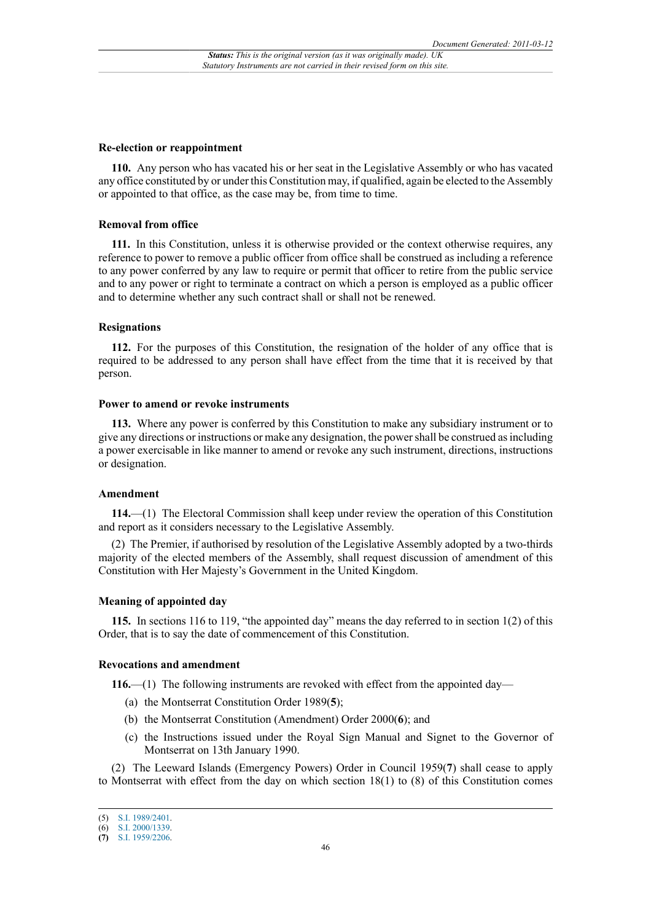#### **Re-election or reappointment**

**110.** Any person who has vacated his or her seat in the Legislative Assembly or who has vacated any office constituted by or under this Constitution may, if qualified, again be elected to the Assembly or appointed to that office, as the case may be, from time to time.

### **Removal from office**

**111.** In this Constitution, unless it is otherwise provided or the context otherwise requires, any reference to power to remove a public officer from office shall be construed as including a reference to any power conferred by any law to require or permit that officer to retire from the public service and to any power or right to terminate a contract on which a person is employed as a public officer and to determine whether any such contract shall or shall not be renewed.

#### **Resignations**

**112.** For the purposes of this Constitution, the resignation of the holder of any office that is required to be addressed to any person shall have effect from the time that it is received by that person.

### **Power to amend or revoke instruments**

**113.** Where any power is conferred by this Constitution to make any subsidiary instrument or to give any directions or instructions or make any designation, the power shall be construed as including a power exercisable in like manner to amend or revoke any such instrument, directions, instructions or designation.

#### **Amendment**

**114.**—(1) The Electoral Commission shall keep under review the operation of this Constitution and report as it considers necessary to the Legislative Assembly.

(2) The Premier, if authorised by resolution of the Legislative Assembly adopted by a two-thirds majority of the elected members of the Assembly, shall request discussion of amendment of this Constitution with Her Majesty's Government in the United Kingdom.

#### **Meaning of appointed day**

**115.** In sections 116 to 119, "the appointed day" means the day referred to in section 1(2) of this Order, that is to say the date of commencement of this Constitution.

### **Revocations and amendment**

**116.**—(1) The following instruments are revoked with effect from the appointed day—

- (a) the Montserrat Constitution Order 1989(**5**);
- (b) the Montserrat Constitution (Amendment) Order 2000(**6**); and
- (c) the Instructions issued under the Royal Sign Manual and Signet to the Governor of Montserrat on 13th January 1990.

(2) The Leeward Islands (Emergency Powers) Order in Council 1959(**7**) shall cease to apply to Montserrat with effect from the day on which section 18(1) to (8) of this Constitution comes

<sup>(5)</sup> [S.I. 1989/2401](http://www.legislation.gov.uk/id/uksi/1989/2401).

<sup>(6)</sup> [S.I. 2000/1339](http://www.legislation.gov.uk/id/uksi/2000/1339).

**<sup>(7)</sup>** [S.I. 1959/2206](http://www.legislation.gov.uk/id/uksi/1959/2206).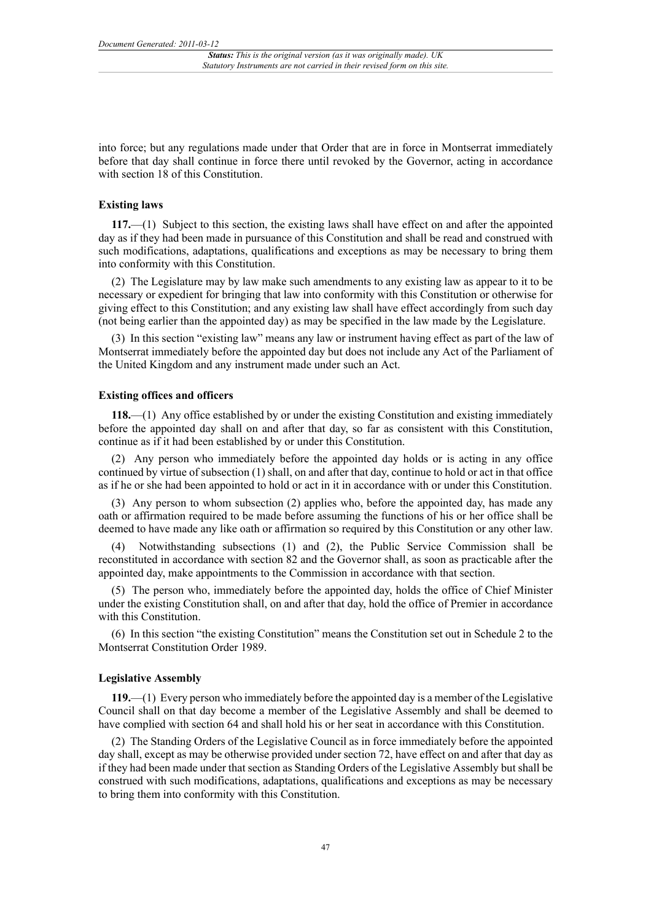into force; but any regulations made under that Order that are in force in Montserrat immediately before that day shall continue in force there until revoked by the Governor, acting in accordance with section 18 of this Constitution.

#### **Existing laws**

**117.**—(1) Subject to this section, the existing laws shall have effect on and after the appointed day as if they had been made in pursuance of this Constitution and shall be read and construed with such modifications, adaptations, qualifications and exceptions as may be necessary to bring them into conformity with this Constitution.

(2) The Legislature may by law make such amendments to any existing law as appear to it to be necessary or expedient for bringing that law into conformity with this Constitution or otherwise for giving effect to this Constitution; and any existing law shall have effect accordingly from such day (not being earlier than the appointed day) as may be specified in the law made by the Legislature.

(3) In this section "existing law" means any law or instrument having effect as part of the law of Montserrat immediately before the appointed day but does not include any Act of the Parliament of the United Kingdom and any instrument made under such an Act.

#### **Existing offices and officers**

**118.**—(1) Any office established by or under the existing Constitution and existing immediately before the appointed day shall on and after that day, so far as consistent with this Constitution, continue as if it had been established by or under this Constitution.

(2) Any person who immediately before the appointed day holds or is acting in any office continued by virtue of subsection (1) shall, on and after that day, continue to hold or act in that office as if he or she had been appointed to hold or act in it in accordance with or under this Constitution.

(3) Any person to whom subsection (2) applies who, before the appointed day, has made any oath or affirmation required to be made before assuming the functions of his or her office shall be deemed to have made any like oath or affirmation so required by this Constitution or any other law.

(4) Notwithstanding subsections (1) and (2), the Public Service Commission shall be reconstituted in accordance with section 82 and the Governor shall, as soon as practicable after the appointed day, make appointments to the Commission in accordance with that section.

(5) The person who, immediately before the appointed day, holds the office of Chief Minister under the existing Constitution shall, on and after that day, hold the office of Premier in accordance with this Constitution.

(6) In this section "the existing Constitution" means the Constitution set out in Schedule 2 to the Montserrat Constitution Order 1989.

#### **Legislative Assembly**

**119.**—(1) Every person who immediately before the appointed day is a member of the Legislative Council shall on that day become a member of the Legislative Assembly and shall be deemed to have complied with section 64 and shall hold his or her seat in accordance with this Constitution.

(2) The Standing Orders of the Legislative Council as in force immediately before the appointed day shall, except as may be otherwise provided under section 72, have effect on and after that day as if they had been made under that section as Standing Orders of the Legislative Assembly but shall be construed with such modifications, adaptations, qualifications and exceptions as may be necessary to bring them into conformity with this Constitution.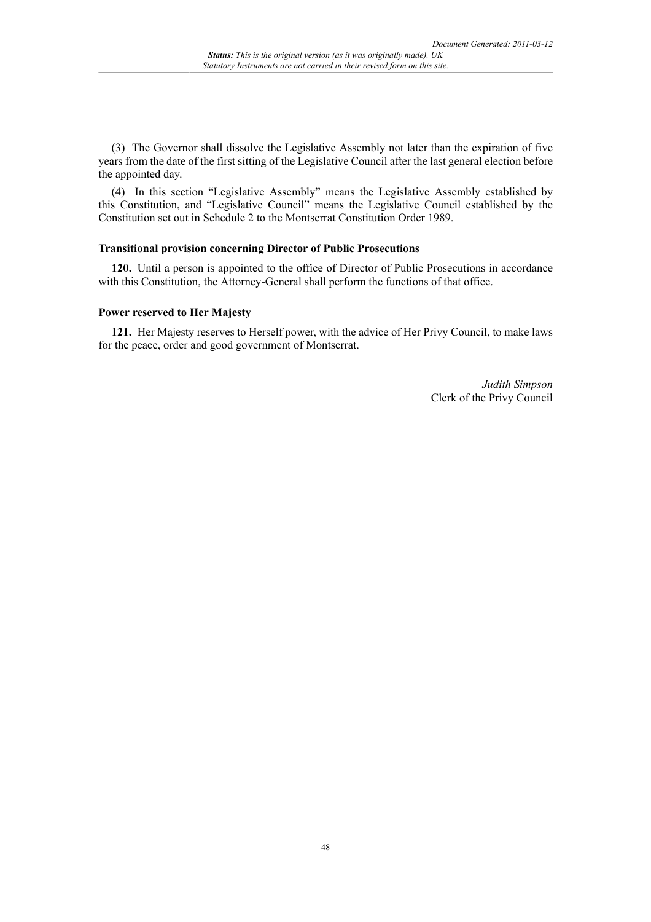(3) The Governor shall dissolve the Legislative Assembly not later than the expiration of five years from the date of the first sitting of the Legislative Council after the last general election before the appointed day.

(4) In this section "Legislative Assembly" means the Legislative Assembly established by this Constitution, and "Legislative Council" means the Legislative Council established by the Constitution set out in Schedule 2 to the Montserrat Constitution Order 1989.

### **Transitional provision concerning Director of Public Prosecutions**

**120.** Until a person is appointed to the office of Director of Public Prosecutions in accordance with this Constitution, the Attorney-General shall perform the functions of that office.

# **Power reserved to Her Majesty**

**121.** Her Majesty reserves to Herself power, with the advice of Her Privy Council, to make laws for the peace, order and good government of Montserrat.

> *Judith Simpson* Clerk of the Privy Council